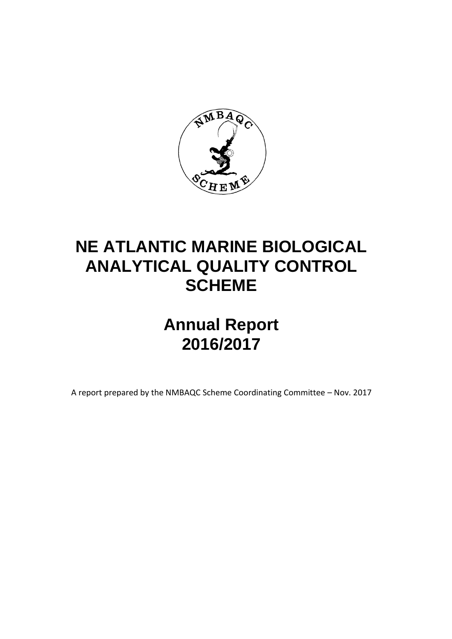

# **NE ATLANTIC MARINE BIOLOGICAL ANALYTICAL QUALITY CONTROL SCHEME**

# **Annual Report 2016/2017**

A report prepared by the NMBAQC Scheme Coordinating Committee – Nov. 2017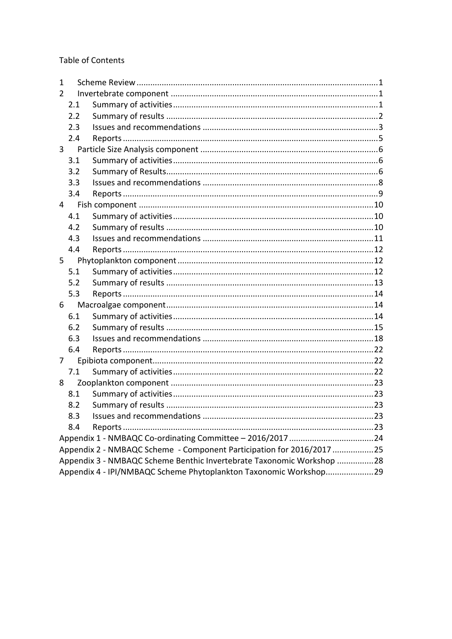# **Table of Contents**

| 1             |                                                                       |  |
|---------------|-----------------------------------------------------------------------|--|
| $\mathcal{P}$ |                                                                       |  |
| 2.1           |                                                                       |  |
| 2.2           |                                                                       |  |
| 2.3           |                                                                       |  |
| 2.4           |                                                                       |  |
| 3             |                                                                       |  |
| 3.1           |                                                                       |  |
| 3.2           |                                                                       |  |
| 3.3           |                                                                       |  |
| 3.4           |                                                                       |  |
| 4             |                                                                       |  |
| 4.1           |                                                                       |  |
| 4.2           |                                                                       |  |
| 4.3           |                                                                       |  |
| 4.4           |                                                                       |  |
| $5 -$         |                                                                       |  |
| 5.1           |                                                                       |  |
| 5.2           |                                                                       |  |
| 5.3           |                                                                       |  |
| 6             |                                                                       |  |
| 6.1           |                                                                       |  |
| 6.2           |                                                                       |  |
| 6.3           |                                                                       |  |
| 6.4           |                                                                       |  |
| 7             |                                                                       |  |
| 7.1           |                                                                       |  |
| 8             |                                                                       |  |
| 8.1           |                                                                       |  |
| 8.2           |                                                                       |  |
| 8.3           |                                                                       |  |
| 8.4           |                                                                       |  |
|               |                                                                       |  |
|               | Appendix 2 - NMBAQC Scheme - Component Participation for 2016/2017 25 |  |
|               | Appendix 3 - NMBAQC Scheme Benthic Invertebrate Taxonomic Workshop 28 |  |
|               | Appendix 4 - IPI/NMBAQC Scheme Phytoplankton Taxonomic Workshop29     |  |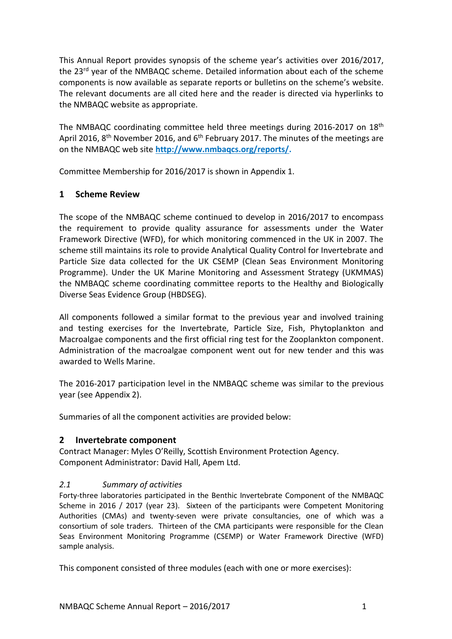This Annual Report provides synopsis of the scheme year's activities over 2016/2017, the 23<sup>rd</sup> year of the NMBAQC scheme. Detailed information about each of the scheme components is now available as separate reports or bulletins on the scheme's website. The relevant documents are all cited here and the reader is directed via hyperlinks to the NMBAQC website as appropriate.

The NMBAQC coordinating committee held three meetings during 2016-2017 on 18<sup>th</sup> April 2016, 8<sup>th</sup> November 2016, and 6<sup>th</sup> February 2017. The minutes of the meetings are on the NMBAQC web site **[http://www.nmbaqcs.org/reports/.](http://www.nmbaqcs.org/reports/)**

Committee Membership for 2016/2017 is shown in Appendix 1.

## <span id="page-2-0"></span>**1 Scheme Review**

The scope of the NMBAQC scheme continued to develop in 2016/2017 to encompass the requirement to provide quality assurance for assessments under the Water Framework Directive (WFD), for which monitoring commenced in the UK in 2007. The scheme still maintains its role to provide Analytical Quality Control for Invertebrate and Particle Size data collected for the UK CSEMP (Clean Seas Environment Monitoring Programme). Under the UK Marine Monitoring and Assessment Strategy (UKMMAS) the NMBAQC scheme coordinating committee reports to the Healthy and Biologically Diverse Seas Evidence Group (HBDSEG).

All components followed a similar format to the previous year and involved training and testing exercises for the Invertebrate, Particle Size, Fish, Phytoplankton and Macroalgae components and the first official ring test for the Zooplankton component. Administration of the macroalgae component went out for new tender and this was awarded to Wells Marine.

The 2016-2017 participation level in the NMBAQC scheme was similar to the previous year (see Appendix 2).

Summaries of all the component activities are provided below:

## <span id="page-2-1"></span>**2 Invertebrate component**

Contract Manager: Myles O'Reilly, Scottish Environment Protection Agency. Component Administrator: David Hall, Apem Ltd.

## <span id="page-2-2"></span>*2.1 Summary of activities*

Forty-three laboratories participated in the Benthic Invertebrate Component of the NMBAQC Scheme in 2016 / 2017 (year 23). Sixteen of the participants were Competent Monitoring Authorities (CMAs) and twenty-seven were private consultancies, one of which was a consortium of sole traders. Thirteen of the CMA participants were responsible for the Clean Seas Environment Monitoring Programme (CSEMP) or Water Framework Directive (WFD) sample analysis.

This component consisted of three modules (each with one or more exercises):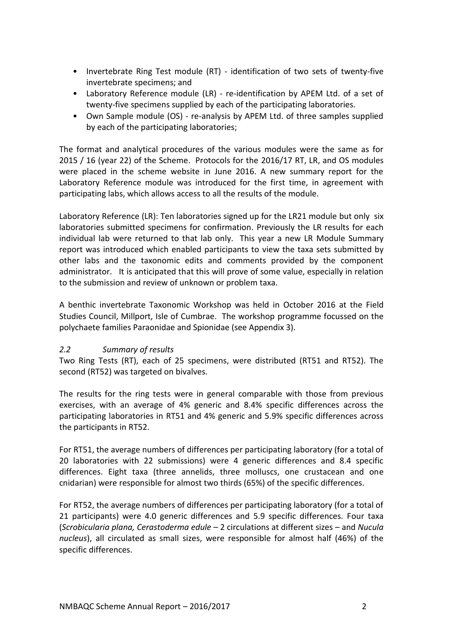- Invertebrate Ring Test module (RT) identification of two sets of twenty-five invertebrate specimens; and
- Laboratory Reference module (LR) re-identification by APEM Ltd. of a set of twenty-five specimens supplied by each of the participating laboratories.
- Own Sample module (OS) re-analysis by APEM Ltd. of three samples supplied by each of the participating laboratories;

The format and analytical procedures of the various modules were the same as for 2015 / 16 (year 22) of the Scheme. Protocols for the 2016/17 RT, LR, and OS modules were placed in the scheme website in June 2016. A new summary report for the Laboratory Reference module was introduced for the first time, in agreement with participating labs, which allows access to all the results of the module.

Laboratory Reference (LR): Ten laboratories signed up for the LR21 module but only six laboratories submitted specimens for confirmation. Previously the LR results for each individual lab were returned to that lab only. This year a new LR Module Summary report was introduced which enabled participants to view the taxa sets submitted by other labs and the taxonomic edits and comments provided by the component administrator. It is anticipated that this will prove of some value, especially in relation to the submission and review of unknown or problem taxa.

A benthic invertebrate Taxonomic Workshop was held in October 2016 at the Field Studies Council, Millport, Isle of Cumbrae. The workshop programme focussed on the polychaete families Paraonidae and Spionidae (see Appendix 3).

## <span id="page-3-0"></span>*2.2 Summary of results*

Two Ring Tests (RT), each of 25 specimens, were distributed (RT51 and RT52). The second (RT52) was targeted on bivalves.

The results for the ring tests were in general comparable with those from previous exercises, with an average of 4% generic and 8.4% specific differences across the participating laboratories in RT51 and 4% generic and 5.9% specific differences across the participants in RT52.

For RT51, the average numbers of differences per participating laboratory (for a total of 20 laboratories with 22 submissions) were 4 generic differences and 8.4 specific differences. Eight taxa (three annelids, three molluscs, one crustacean and one cnidarian) were responsible for almost two thirds (65%) of the specific differences.

For RT52, the average numbers of differences per participating laboratory (for a total of 21 participants) were 4.0 generic differences and 5.9 specific differences. Four taxa (*Scrobicularia plana, Cerastoderma edule* – 2 circulations at different sizes – and *Nucula nucleus*), all circulated as small sizes, were responsible for almost half (46%) of the specific differences.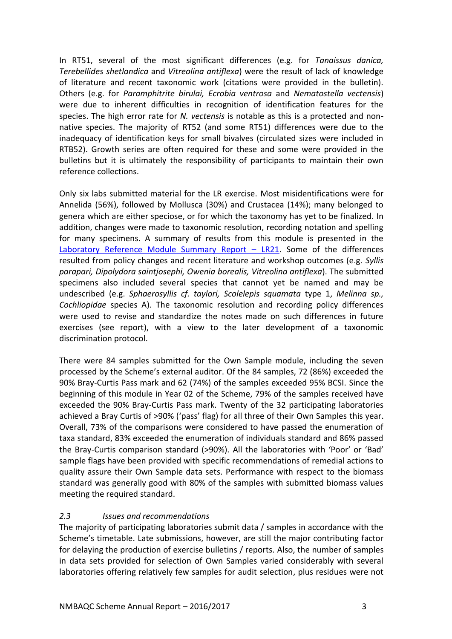In RT51, several of the most significant differences (e.g. for *Tanaissus danica, Terebellides shetlandica* and *Vitreolina antiflexa*) were the result of lack of knowledge of literature and recent taxonomic work (citations were provided in the bulletin). Others (e.g. for *Paramphitrite birulai, Ecrobia ventrosa* and *Nematostella vectensis*) were due to inherent difficulties in recognition of identification features for the species. The high error rate for *N. vectensis* is notable as this is a protected and nonnative species. The majority of RT52 (and some RT51) differences were due to the inadequacy of identification keys for small bivalves (circulated sizes were included in RTB52). Growth series are often required for these and some were provided in the bulletins but it is ultimately the responsibility of participants to maintain their own reference collections.

Only six labs submitted material for the LR exercise. Most misidentifications were for Annelida (56%), followed by Mollusca (30%) and Crustacea (14%); many belonged to genera which are either speciose, or for which the taxonomy has yet to be finalized. In addition, changes were made to taxonomic resolution, recording notation and spelling for many specimens. A summary of results from this module is presented in the [Laboratory Reference Module Summary Report](http://www.nmbaqcs.org/scheme-components/invertebrates/reports/lr21-summary-report/) – LR21. Some of the differences resulted from policy changes and recent literature and workshop outcomes (e.g. *Syllis parapari, Dipolydora saintjosephi, Owenia borealis, Vitreolina antiflexa*). The submitted specimens also included several species that cannot yet be named and may be undescribed (e.g. *Sphaerosyllis cf. taylori, Scolelepis squamata* type 1, *Melinna sp., Cochliopidae* species A). The taxonomic resolution and recording policy differences were used to revise and standardize the notes made on such differences in future exercises (see report), with a view to the later development of a taxonomic discrimination protocol.

There were 84 samples submitted for the Own Sample module, including the seven processed by the Scheme's external auditor. Of the 84 samples, 72 (86%) exceeded the 90% Bray-Curtis Pass mark and 62 (74%) of the samples exceeded 95% BCSI. Since the beginning of this module in Year 02 of the Scheme, 79% of the samples received have exceeded the 90% Bray-Curtis Pass mark. Twenty of the 32 participating laboratories achieved a Bray Curtis of >90% ('pass' flag) for all three of their Own Samples this year. Overall, 73% of the comparisons were considered to have passed the enumeration of taxa standard, 83% exceeded the enumeration of individuals standard and 86% passed the Bray-Curtis comparison standard (>90%). All the laboratories with 'Poor' or 'Bad' sample flags have been provided with specific recommendations of remedial actions to quality assure their Own Sample data sets. Performance with respect to the biomass standard was generally good with 80% of the samples with submitted biomass values meeting the required standard.

# <span id="page-4-0"></span>*2.3 Issues and recommendations*

The majority of participating laboratories submit data / samples in accordance with the Scheme's timetable. Late submissions, however, are still the major contributing factor for delaying the production of exercise bulletins / reports. Also, the number of samples in data sets provided for selection of Own Samples varied considerably with several laboratories offering relatively few samples for audit selection, plus residues were not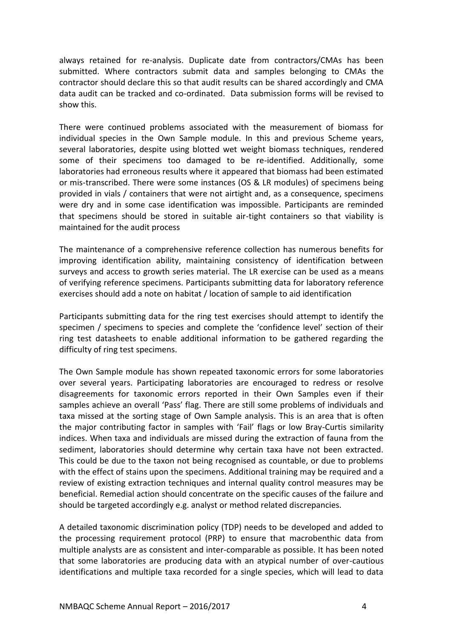always retained for re-analysis. Duplicate date from contractors/CMAs has been submitted. Where contractors submit data and samples belonging to CMAs the contractor should declare this so that audit results can be shared accordingly and CMA data audit can be tracked and co-ordinated. Data submission forms will be revised to show this.

There were continued problems associated with the measurement of biomass for individual species in the Own Sample module. In this and previous Scheme years, several laboratories, despite using blotted wet weight biomass techniques, rendered some of their specimens too damaged to be re-identified. Additionally, some laboratories had erroneous results where it appeared that biomass had been estimated or mis-transcribed. There were some instances (OS & LR modules) of specimens being provided in vials / containers that were not airtight and, as a consequence, specimens were dry and in some case identification was impossible. Participants are reminded that specimens should be stored in suitable air-tight containers so that viability is maintained for the audit process

The maintenance of a comprehensive reference collection has numerous benefits for improving identification ability, maintaining consistency of identification between surveys and access to growth series material. The LR exercise can be used as a means of verifying reference specimens. Participants submitting data for laboratory reference exercises should add a note on habitat / location of sample to aid identification

Participants submitting data for the ring test exercises should attempt to identify the specimen / specimens to species and complete the 'confidence level' section of their ring test datasheets to enable additional information to be gathered regarding the difficulty of ring test specimens.

The Own Sample module has shown repeated taxonomic errors for some laboratories over several years. Participating laboratories are encouraged to redress or resolve disagreements for taxonomic errors reported in their Own Samples even if their samples achieve an overall 'Pass' flag. There are still some problems of individuals and taxa missed at the sorting stage of Own Sample analysis. This is an area that is often the major contributing factor in samples with 'Fail' flags or low Bray-Curtis similarity indices. When taxa and individuals are missed during the extraction of fauna from the sediment, laboratories should determine why certain taxa have not been extracted. This could be due to the taxon not being recognised as countable, or due to problems with the effect of stains upon the specimens. Additional training may be required and a review of existing extraction techniques and internal quality control measures may be beneficial. Remedial action should concentrate on the specific causes of the failure and should be targeted accordingly e.g. analyst or method related discrepancies.

A detailed taxonomic discrimination policy (TDP) needs to be developed and added to the processing requirement protocol (PRP) to ensure that macrobenthic data from multiple analysts are as consistent and inter-comparable as possible. It has been noted that some laboratories are producing data with an atypical number of over-cautious identifications and multiple taxa recorded for a single species, which will lead to data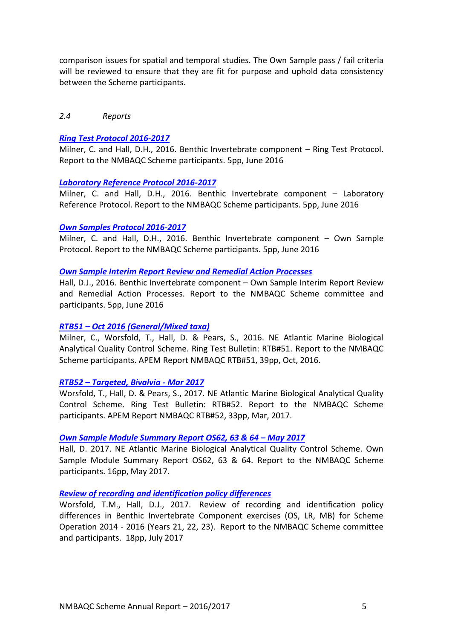comparison issues for spatial and temporal studies. The Own Sample pass / fail criteria will be reviewed to ensure that they are fit for purpose and uphold data consistency between the Scheme participants.

#### <span id="page-6-0"></span>*2.4 Reports*

#### *[Ring Test Protocol 2016-2017](http://www.nmbaqcs.org/scheme-components/invertebrates/reports/rt-protocol-2016-2017/)*

Milner, C. and Hall, D.H., 2016. Benthic Invertebrate component – Ring Test Protocol. Report to the NMBAQC Scheme participants. 5pp, June 2016

#### *[Laboratory Reference Protocol 2016-2017](http://www.nmbaqcs.org/scheme-components/invertebrates/reports/lr-protocol-2016-2017/)*

Milner, C. and Hall, D.H., 2016. Benthic Invertebrate component – Laboratory Reference Protocol. Report to the NMBAQC Scheme participants. 5pp, June 2016

#### *[Own Samples Protocol 2016-2017](http://www.nmbaqcs.org/scheme-components/invertebrates/reports/os-protocol-2016-2017/)*

Milner, C. and Hall, D.H., 2016. Benthic Invertebrate component – Own Sample Protocol. Report to the NMBAQC Scheme participants. 5pp, June 2016

#### *[Own Sample Interim Report Review and Remedial Action Processes](http://www.nmbaqcs.org/scheme-components/invertebrates/reports/own-sample-remedial-processes/)*

Hall, D.J., 2016. Benthic Invertebrate component – Own Sample Interim Report Review and Remedial Action Processes. Report to the NMBAQC Scheme committee and participants. 5pp, June 2016

#### *RTB51 – Oct 2016 [\(General/Mixed taxa\)](http://www.nmbaqcs.org/scheme-components/invertebrates/reports/rtb51/)*

Milner, C., Worsfold, T., Hall, D. & Pears, S., 2016. NE Atlantic Marine Biological Analytical Quality Control Scheme. Ring Test Bulletin: RTB#51. Report to the NMBAQC Scheme participants. APEM Report NMBAQC RTB#51, 39pp, Oct, 2016.

#### *RTB52 – [Targeted, Bivalvia -](http://www.nmbaqcs.org/scheme-components/invertebrates/reports/rtb52/) Mar 2017*

Worsfold, T., Hall, D. & Pears, S., 2017. NE Atlantic Marine Biological Analytical Quality Control Scheme. Ring Test Bulletin: RTB#52. Report to the NMBAQC Scheme participants. APEM Report NMBAQC RTB#52, 33pp, Mar, 2017.

#### *[Own Sample Module Summary](http://www.nmbaqcs.org/scheme-components/invertebrates/reports/os626364-summary-report/) Report OS62, 63 & 64 – May 2017*

Hall, D. 2017. NE Atlantic Marine Biological Analytical Quality Control Scheme. Own Sample Module Summary Report OS62, 63 & 64. Report to the NMBAQC Scheme participants. 16pp, May 2017.

#### *[Review of recording and identification policy differences](http://www.nmbaqcs.org/scheme-components/invertebrates/reports/review-of-recording-and-identification-policy-differences/)*

Worsfold, T.M., Hall, D.J., 2017. Review of recording and identification policy differences in Benthic Invertebrate Component exercises (OS, LR, MB) for Scheme Operation 2014 - 2016 (Years 21, 22, 23). Report to the NMBAQC Scheme committee and participants. 18pp, July 2017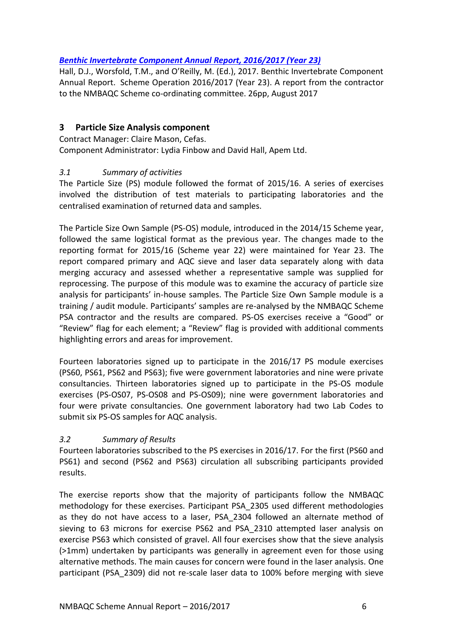# *[Benthic Invertebrate Component Annual Report, 2016/2017 \(Year 23\)](http://www.nmbaqcs.org/scheme-components/invertebrates/reports/benthic-invertebrate-component-annual-report-20162017/)*

Hall, D.J., Worsfold, T.M., and O'Reilly, M. (Ed.), 2017. Benthic Invertebrate Component Annual Report. Scheme Operation 2016/2017 (Year 23). A report from the contractor to the NMBAQC Scheme co-ordinating committee. 26pp, August 2017

# <span id="page-7-0"></span>**3 Particle Size Analysis component**

Contract Manager: Claire Mason, Cefas. Component Administrator: Lydia Finbow and David Hall, Apem Ltd.

# <span id="page-7-1"></span>*3.1 Summary of activities*

The Particle Size (PS) module followed the format of 2015/16. A series of exercises involved the distribution of test materials to participating laboratories and the centralised examination of returned data and samples.

The Particle Size Own Sample (PS-OS) module, introduced in the 2014/15 Scheme year, followed the same logistical format as the previous year. The changes made to the reporting format for 2015/16 (Scheme year 22) were maintained for Year 23. The report compared primary and AQC sieve and laser data separately along with data merging accuracy and assessed whether a representative sample was supplied for reprocessing. The purpose of this module was to examine the accuracy of particle size analysis for participants' in-house samples. The Particle Size Own Sample module is a training / audit module. Participants' samples are re-analysed by the NMBAQC Scheme PSA contractor and the results are compared. PS-OS exercises receive a "Good" or "Review" flag for each element; a "Review" flag is provided with additional comments highlighting errors and areas for improvement.

Fourteen laboratories signed up to participate in the 2016/17 PS module exercises (PS60, PS61, PS62 and PS63); five were government laboratories and nine were private consultancies. Thirteen laboratories signed up to participate in the PS-OS module exercises (PS-OS07, PS-OS08 and PS-OS09); nine were government laboratories and four were private consultancies. One government laboratory had two Lab Codes to submit six PS-OS samples for AQC analysis.

## <span id="page-7-2"></span>*3.2 Summary of Results*

Fourteen laboratories subscribed to the PS exercises in 2016/17. For the first (PS60 and PS61) and second (PS62 and PS63) circulation all subscribing participants provided results.

The exercise reports show that the majority of participants follow the NMBAQC methodology for these exercises. Participant PSA\_2305 used different methodologies as they do not have access to a laser, PSA\_2304 followed an alternate method of sieving to 63 microns for exercise PS62 and PSA\_2310 attempted laser analysis on exercise PS63 which consisted of gravel. All four exercises show that the sieve analysis (>1mm) undertaken by participants was generally in agreement even for those using alternative methods. The main causes for concern were found in the laser analysis. One participant (PSA\_2309) did not re-scale laser data to 100% before merging with sieve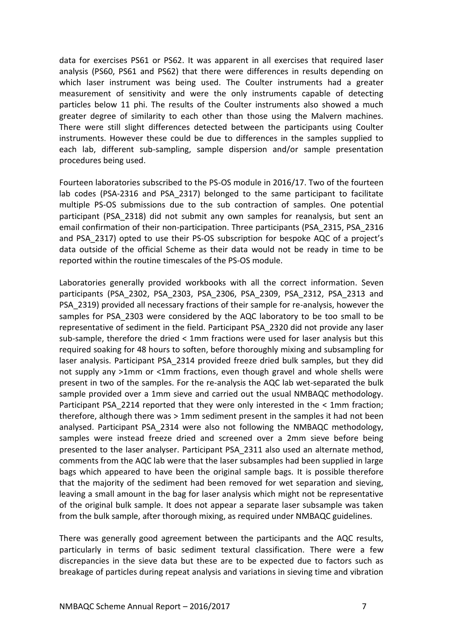data for exercises PS61 or PS62. It was apparent in all exercises that required laser analysis (PS60, PS61 and PS62) that there were differences in results depending on which laser instrument was being used. The Coulter instruments had a greater measurement of sensitivity and were the only instruments capable of detecting particles below 11 phi. The results of the Coulter instruments also showed a much greater degree of similarity to each other than those using the Malvern machines. There were still slight differences detected between the participants using Coulter instruments. However these could be due to differences in the samples supplied to each lab, different sub-sampling, sample dispersion and/or sample presentation procedures being used.

Fourteen laboratories subscribed to the PS-OS module in 2016/17. Two of the fourteen lab codes (PSA-2316 and PSA\_2317) belonged to the same participant to facilitate multiple PS-OS submissions due to the sub contraction of samples. One potential participant (PSA\_2318) did not submit any own samples for reanalysis, but sent an email confirmation of their non-participation. Three participants (PSA\_2315, PSA\_2316 and PSA\_2317) opted to use their PS-OS subscription for bespoke AQC of a project's data outside of the official Scheme as their data would not be ready in time to be reported within the routine timescales of the PS-OS module.

Laboratories generally provided workbooks with all the correct information. Seven participants (PSA\_2302, PSA\_2303, PSA\_2306, PSA\_2309, PSA\_2312, PSA\_2313 and PSA\_2319) provided all necessary fractions of their sample for re-analysis, however the samples for PSA\_2303 were considered by the AQC laboratory to be too small to be representative of sediment in the field. Participant PSA\_2320 did not provide any laser sub-sample, therefore the dried < 1mm fractions were used for laser analysis but this required soaking for 48 hours to soften, before thoroughly mixing and subsampling for laser analysis. Participant PSA\_2314 provided freeze dried bulk samples, but they did not supply any >1mm or <1mm fractions, even though gravel and whole shells were present in two of the samples. For the re-analysis the AQC lab wet-separated the bulk sample provided over a 1mm sieve and carried out the usual NMBAQC methodology. Participant PSA 2214 reported that they were only interested in the < 1mm fraction; therefore, although there was > 1mm sediment present in the samples it had not been analysed. Participant PSA\_2314 were also not following the NMBAQC methodology, samples were instead freeze dried and screened over a 2mm sieve before being presented to the laser analyser. Participant PSA\_2311 also used an alternate method, comments from the AQC lab were that the laser subsamples had been supplied in large bags which appeared to have been the original sample bags. It is possible therefore that the majority of the sediment had been removed for wet separation and sieving, leaving a small amount in the bag for laser analysis which might not be representative of the original bulk sample. It does not appear a separate laser subsample was taken from the bulk sample, after thorough mixing, as required under NMBAQC guidelines.

There was generally good agreement between the participants and the AQC results, particularly in terms of basic sediment textural classification. There were a few discrepancies in the sieve data but these are to be expected due to factors such as breakage of particles during repeat analysis and variations in sieving time and vibration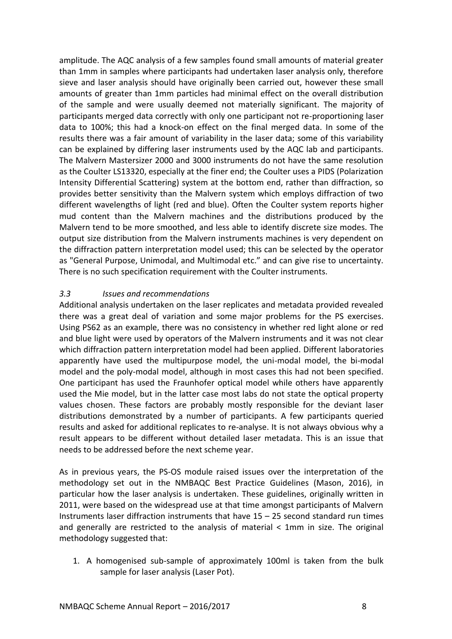amplitude. The AQC analysis of a few samples found small amounts of material greater than 1mm in samples where participants had undertaken laser analysis only, therefore sieve and laser analysis should have originally been carried out, however these small amounts of greater than 1mm particles had minimal effect on the overall distribution of the sample and were usually deemed not materially significant. The majority of participants merged data correctly with only one participant not re-proportioning laser data to 100%; this had a knock-on effect on the final merged data. In some of the results there was a fair amount of variability in the laser data; some of this variability can be explained by differing laser instruments used by the AQC lab and participants. The Malvern Mastersizer 2000 and 3000 instruments do not have the same resolution as the Coulter LS13320, especially at the finer end; the Coulter uses a PIDS (Polarization Intensity Differential Scattering) system at the bottom end, rather than diffraction, so provides better sensitivity than the Malvern system which employs diffraction of two different wavelengths of light (red and blue). Often the Coulter system reports higher mud content than the Malvern machines and the distributions produced by the Malvern tend to be more smoothed, and less able to identify discrete size modes. The output size distribution from the Malvern instruments machines is very dependent on the diffraction pattern interpretation model used; this can be selected by the operator as "General Purpose, Unimodal, and Multimodal etc." and can give rise to uncertainty. There is no such specification requirement with the Coulter instruments.

## <span id="page-9-0"></span>*3.3 Issues and recommendations*

Additional analysis undertaken on the laser replicates and metadata provided revealed there was a great deal of variation and some major problems for the PS exercises. Using PS62 as an example, there was no consistency in whether red light alone or red and blue light were used by operators of the Malvern instruments and it was not clear which diffraction pattern interpretation model had been applied. Different laboratories apparently have used the multipurpose model, the uni-modal model, the bi-modal model and the poly-modal model, although in most cases this had not been specified. One participant has used the Fraunhofer optical model while others have apparently used the Mie model, but in the latter case most labs do not state the optical property values chosen. These factors are probably mostly responsible for the deviant laser distributions demonstrated by a number of participants. A few participants queried results and asked for additional replicates to re-analyse. It is not always obvious why a result appears to be different without detailed laser metadata. This is an issue that needs to be addressed before the next scheme year.

As in previous years, the PS-OS module raised issues over the interpretation of the methodology set out in the NMBAQC Best Practice Guidelines (Mason, 2016), in particular how the laser analysis is undertaken. These guidelines, originally written in 2011, were based on the widespread use at that time amongst participants of Malvern Instruments laser diffraction instruments that have 15 – 25 second standard run times and generally are restricted to the analysis of material < 1mm in size. The original methodology suggested that:

1. A homogenised sub-sample of approximately 100ml is taken from the bulk sample for laser analysis (Laser Pot).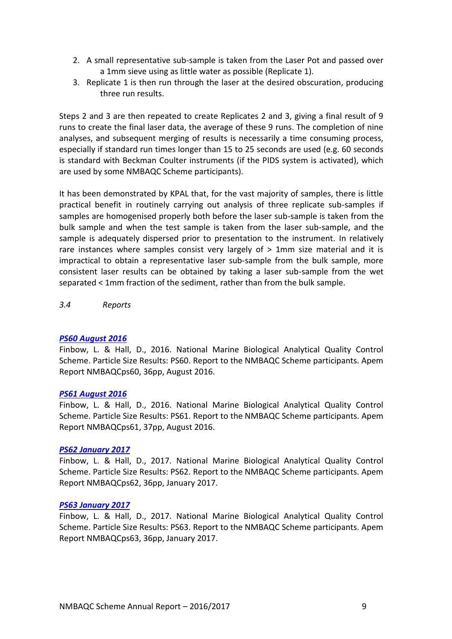- 2. A small representative sub-sample is taken from the Laser Pot and passed over a 1mm sieve using as little water as possible (Replicate 1).
- 3. Replicate 1 is then run through the laser at the desired obscuration, producing three run results.

Steps 2 and 3 are then repeated to create Replicates 2 and 3, giving a final result of 9 runs to create the final laser data, the average of these 9 runs. The completion of nine analyses, and subsequent merging of results is necessarily a time consuming process, especially if standard run times longer than 15 to 25 seconds are used (e.g. 60 seconds is standard with Beckman Coulter instruments (if the PIDS system is activated), which are used by some NMBAQC Scheme participants).

It has been demonstrated by KPAL that, for the vast majority of samples, there is little practical benefit in routinely carrying out analysis of three replicate sub-samples if samples are homogenised properly both before the laser sub-sample is taken from the bulk sample and when the test sample is taken from the laser sub-sample, and the sample is adequately dispersed prior to presentation to the instrument. In relatively rare instances where samples consist very largely of > 1mm size material and it is impractical to obtain a representative laser sub-sample from the bulk sample, more consistent laser results can be obtained by taking a laser sub-sample from the wet separated < 1mm fraction of the sediment, rather than from the bulk sample.

<span id="page-10-0"></span>*3.4 Reports* 

#### *[PS60 August 2016](http://www.nmbaqcs.org/scheme-components/particle-size-analysis/reports/ps60/)*

Finbow, L. & Hall, D., 2016. National Marine Biological Analytical Quality Control Scheme. Particle Size Results: PS60. Report to the NMBAQC Scheme participants. Apem Report NMBAQCps60, 36pp, August 2016.

#### *[PS61 August 2016](http://www.nmbaqcs.org/scheme-components/particle-size-analysis/reports/ps61/)*

Finbow, L. & Hall, D., 2016. National Marine Biological Analytical Quality Control Scheme. Particle Size Results: PS61. Report to the NMBAQC Scheme participants. Apem Report NMBAQCps61, 37pp, August 2016.

#### *[PS62 January 2017](http://www.nmbaqcs.org/scheme-components/particle-size-analysis/reports/ps62/)*

Finbow, L. & Hall, D., 2017. National Marine Biological Analytical Quality Control Scheme. Particle Size Results: PS62. Report to the NMBAQC Scheme participants. Apem Report NMBAQCps62, 36pp, January 2017.

#### *[PS63 January 2017](http://www.nmbaqcs.org/scheme-components/particle-size-analysis/reports/ps63/)*

Finbow, L. & Hall, D., 2017. National Marine Biological Analytical Quality Control Scheme. Particle Size Results: PS63. Report to the NMBAQC Scheme participants. Apem Report NMBAQCps63, 36pp, January 2017.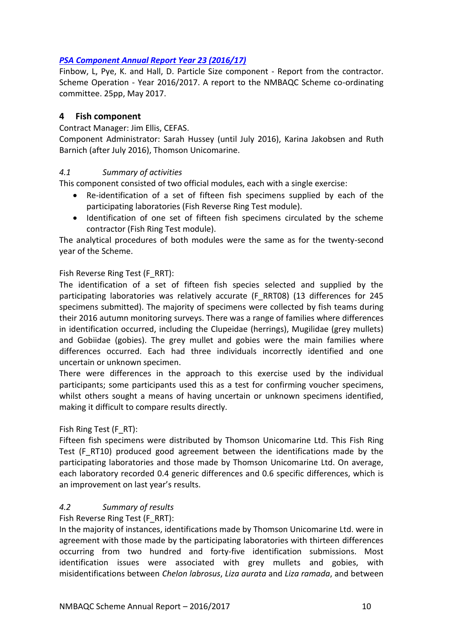# *[PSA Component Annual Report Year 23 \(2016/17\)](http://www.nmbaqcs.org/scheme-components/particle-size-analysis/reports/psa-annual-report-2016-2017/)*

Finbow, L, Pye, K. and Hall, D. Particle Size component - Report from the contractor. Scheme Operation - Year 2016/2017. A report to the NMBAQC Scheme co-ordinating committee. 25pp, May 2017.

# <span id="page-11-0"></span>**4 Fish component**

Contract Manager: Jim Ellis, CEFAS.

Component Administrator: Sarah Hussey (until July 2016), Karina Jakobsen and Ruth Barnich (after July 2016), Thomson Unicomarine.

## <span id="page-11-1"></span>*4.1 Summary of activities*

This component consisted of two official modules, each with a single exercise:

- Re-identification of a set of fifteen fish specimens supplied by each of the participating laboratories (Fish Reverse Ring Test module).
- Identification of one set of fifteen fish specimens circulated by the scheme contractor (Fish Ring Test module).

The analytical procedures of both modules were the same as for the twenty-second year of the Scheme.

## Fish Reverse Ring Test (F\_RRT):

The identification of a set of fifteen fish species selected and supplied by the participating laboratories was relatively accurate (F\_RRT08) (13 differences for 245 specimens submitted). The majority of specimens were collected by fish teams during their 2016 autumn monitoring surveys. There was a range of families where differences in identification occurred, including the Clupeidae (herrings), Mugilidae (grey mullets) and Gobiidae (gobies). The grey mullet and gobies were the main families where differences occurred. Each had three individuals incorrectly identified and one uncertain or unknown specimen.

There were differences in the approach to this exercise used by the individual participants; some participants used this as a test for confirming voucher specimens, whilst others sought a means of having uncertain or unknown specimens identified, making it difficult to compare results directly.

## Fish Ring Test (F\_RT):

Fifteen fish specimens were distributed by Thomson Unicomarine Ltd. This Fish Ring Test (F\_RT10) produced good agreement between the identifications made by the participating laboratories and those made by Thomson Unicomarine Ltd. On average, each laboratory recorded 0.4 generic differences and 0.6 specific differences, which is an improvement on last year's results.

## <span id="page-11-2"></span>*4.2 Summary of results*

Fish Reverse Ring Test (F\_RRT):

In the majority of instances, identifications made by Thomson Unicomarine Ltd. were in agreement with those made by the participating laboratories with thirteen differences occurring from two hundred and forty-five identification submissions. Most identification issues were associated with grey mullets and gobies, with misidentifications between *Chelon labrosus*, *Liza aurata* and *Liza ramada*, and between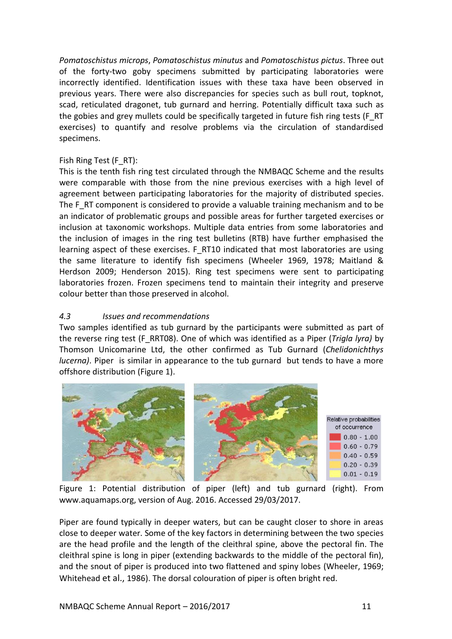*Pomatoschistus microps*, *Pomatoschistus minutus* and *Pomatoschistus pictus*. Three out of the forty-two goby specimens submitted by participating laboratories were incorrectly identified. Identification issues with these taxa have been observed in previous years. There were also discrepancies for species such as bull rout, topknot, scad, reticulated dragonet, tub gurnard and herring. Potentially difficult taxa such as the gobies and grey mullets could be specifically targeted in future fish ring tests (F\_RT exercises) to quantify and resolve problems via the circulation of standardised specimens.

# Fish Ring Test (F\_RT):

This is the tenth fish ring test circulated through the NMBAQC Scheme and the results were comparable with those from the nine previous exercises with a high level of agreement between participating laboratories for the majority of distributed species. The F\_RT component is considered to provide a valuable training mechanism and to be an indicator of problematic groups and possible areas for further targeted exercises or inclusion at taxonomic workshops. Multiple data entries from some laboratories and the inclusion of images in the ring test bulletins (RTB) have further emphasised the learning aspect of these exercises. F\_RT10 indicated that most laboratories are using the same literature to identify fish specimens (Wheeler 1969, 1978; Maitland & Herdson 2009; Henderson 2015). Ring test specimens were sent to participating laboratories frozen. Frozen specimens tend to maintain their integrity and preserve colour better than those preserved in alcohol.

# <span id="page-12-0"></span>*4.3 Issues and recommendations*

Two samples identified as tub gurnard by the participants were submitted as part of the reverse ring test (F\_RRT08). One of which was identified as a Piper (*Trigla lyra)* by Thomson Unicomarine Ltd, the other confirmed as Tub Gurnard (*Chelidonichthys lucerna)*. Piper is similar in appearance to the tub gurnard but tends to have a more offshore distribution (Figure 1).



Figure 1: Potential distribution of piper (left) and tub gurnard (right). From www.aquamaps.org, version of Aug. 2016. Accessed 29/03/2017.

Piper are found typically in deeper waters, but can be caught closer to shore in areas close to deeper water. Some of the key factors in determining between the two species are the head profile and the length of the cleithral spine, above the pectoral fin. The cleithral spine is long in piper (extending backwards to the middle of the pectoral fin), and the snout of piper is produced into two flattened and spiny lobes (Wheeler, 1969; Whitehead et al., 1986). The dorsal colouration of piper is often bright red.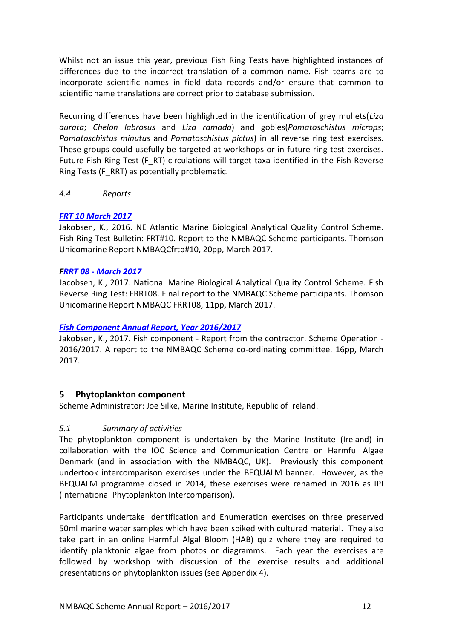Whilst not an issue this year, previous Fish Ring Tests have highlighted instances of differences due to the incorrect translation of a common name. Fish teams are to incorporate scientific names in field data records and/or ensure that common to scientific name translations are correct prior to database submission.

Recurring differences have been highlighted in the identification of grey mullets(*Liza aurata*; *Chelon labrosus* and *Liza ramada*) and gobies(*Pomatoschistus microps*; *Pomatoschistus minutus* and *Pomatoschistus pictus*) in all reverse ring test exercises. These groups could usefully be targeted at workshops or in future ring test exercises. Future Fish Ring Test (F\_RT) circulations will target taxa identified in the Fish Reverse Ring Tests (F\_RRT) as potentially problematic.

<span id="page-13-0"></span>*4.4 Reports*

## *FRT 10 [March 2017](http://www.nmbaqcs.org/scheme-components/fish/reports/frt10/)*

Jakobsen, K., 2016. NE Atlantic Marine Biological Analytical Quality Control Scheme. Fish Ring Test Bulletin: FRT#10. Report to the NMBAQC Scheme participants. Thomson Unicomarine Report NMBAQCfrtb#10, 20pp, March 2017.

#### *FRRT 08 - [March 2017](http://www.nmbaqcs.org/scheme-components/fish/reports/frrt08/)*

Jacobsen, K., 2017. National Marine Biological Analytical Quality Control Scheme. Fish Reverse Ring Test: FRRT08. Final report to the NMBAQC Scheme participants. Thomson Unicomarine Report NMBAQC FRRT08, 11pp, March 2017.

## *[Fish Component Annual Report, Year 2016/2017](http://www.nmbaqcs.org/scheme-components/fish/reports/annual-fish-report-2016-2017/)*

Jakobsen, K., 2017. Fish component - Report from the contractor. Scheme Operation - 2016/2017. A report to the NMBAQC Scheme co-ordinating committee. 16pp, March 2017.

## <span id="page-13-1"></span>**5 Phytoplankton component**

Scheme Administrator: Joe Silke, Marine Institute, Republic of Ireland.

## <span id="page-13-2"></span>*5.1 Summary of activities*

The phytoplankton component is undertaken by the Marine Institute (Ireland) in collaboration with the IOC Science and Communication Centre on Harmful Algae Denmark (and in association with the NMBAQC, UK). Previously this component undertook intercomparison exercises under the BEQUALM banner. However, as the BEQUALM programme closed in 2014, these exercises were renamed in 2016 as IPI (International Phytoplankton Intercomparison).

Participants undertake Identification and Enumeration exercises on three preserved 50ml marine water samples which have been spiked with cultured material. They also take part in an online Harmful Algal Bloom (HAB) quiz where they are required to identify planktonic algae from photos or diagramms. Each year the exercises are followed by workshop with discussion of the exercise results and additional presentations on phytoplankton issues (see Appendix 4).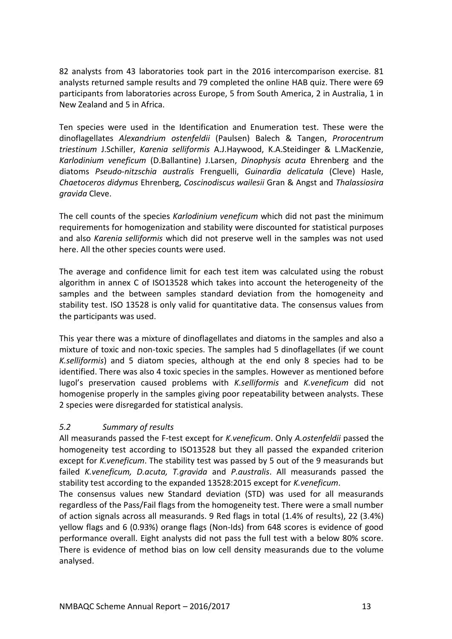82 analysts from 43 laboratories took part in the 2016 intercomparison exercise. 81 analysts returned sample results and 79 completed the online HAB quiz. There were 69 participants from laboratories across Europe, 5 from South America, 2 in Australia, 1 in New Zealand and 5 in Africa.

Ten species were used in the Identification and Enumeration test. These were the dinoflagellates *Alexandrium ostenfeldii* (Paulsen) Balech & Tangen, *Prorocentrum triestinum* J.Schiller, *Karenia selliformis* A.J.Haywood, K.A.Steidinger & L.MacKenzie, *Karlodinium veneficum* (D.Ballantine) J.Larsen, *Dinophysis acuta* Ehrenberg and the diatoms *Pseudo-nitzschia australis* Frenguelli, *Guinardia delicatula* (Cleve) Hasle, *Chaetoceros didymus* Ehrenberg, *Coscinodiscus wailesii* Gran & Angst and *Thalassiosira gravida* Cleve.

The cell counts of the species *Karlodinium veneficum* which did not past the minimum requirements for homogenization and stability were discounted for statistical purposes and also *Karenia selliformis* which did not preserve well in the samples was not used here. All the other species counts were used.

The average and confidence limit for each test item was calculated using the robust algorithm in annex C of ISO13528 which takes into account the heterogeneity of the samples and the between samples standard deviation from the homogeneity and stability test. ISO 13528 is only valid for quantitative data. The consensus values from the participants was used.

This year there was a mixture of dinoflagellates and diatoms in the samples and also a mixture of toxic and non-toxic species. The samples had 5 dinoflagellates (if we count *K.selliformis*) and 5 diatom species, although at the end only 8 species had to be identified. There was also 4 toxic species in the samples. However as mentioned before lugol's preservation caused problems with *K.selliformis* and *K.veneficum* did not homogenise properly in the samples giving poor repeatability between analysts. These 2 species were disregarded for statistical analysis.

## <span id="page-14-0"></span>*5.2 Summary of results*

All measurands passed the F-test except for *K.veneficum*. Only *A.ostenfeldii* passed the homogeneity test according to ISO13528 but they all passed the expanded criterion except for *K.veneficum*. The stability test was passed by 5 out of the 9 measurands but failed *K.veneficum, D.acuta, T.gravida* and *P.australis*. All measurands passed the stability test according to the expanded 13528:2015 except for *K.veneficum*.

The consensus values new Standard deviation (STD) was used for all measurands regardless of the Pass/Fail flags from the homogeneity test. There were a small number of action signals across all measurands. 9 Red flags in total (1.4% of results), 22 (3.4%) yellow flags and 6 (0.93%) orange flags (Non-Ids) from 648 scores is evidence of good performance overall. Eight analysts did not pass the full test with a below 80% score. There is evidence of method bias on low cell density measurands due to the volume analysed.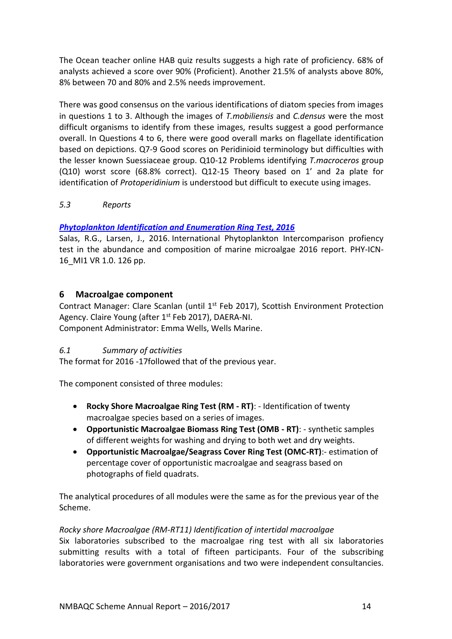The Ocean teacher online HAB quiz results suggests a high rate of proficiency. 68% of analysts achieved a score over 90% (Proficient). Another 21.5% of analysts above 80%, 8% between 70 and 80% and 2.5% needs improvement.

There was good consensus on the various identifications of diatom species from images in questions 1 to 3. Although the images of *T.mobiliensis* and *C.densus* were the most difficult organisms to identify from these images, results suggest a good performance overall. In Questions 4 to 6, there were good overall marks on flagellate identification based on depictions. Q7-9 Good scores on Peridinioid terminology but difficulties with the lesser known Suessiaceae group. Q10-12 Problems identifying *T.macroceros* group (Q10) worst score (68.8% correct). Q12-15 Theory based on 1' and 2a plate for identification of *Protoperidinium* is understood but difficult to execute using images.

<span id="page-15-0"></span>*5.3 Reports*

## *[Phytoplankton Identification and Enumeration Ring Test, 2016](http://www.nmbaqcs.org/scheme-components/phytoplankton/reports/phytoplankton-icn-16-mi-1/)*

Salas, R.G., Larsen, J., 2016. International Phytoplankton Intercomparison profiency test in the abundance and composition of marine microalgae 2016 report. PHY-ICN-16\_MI1 VR 1.0. 126 pp.

# <span id="page-15-1"></span>**6 Macroalgae component**

Contract Manager: Clare Scanlan (until  $1<sup>st</sup>$  Feb 2017), Scottish Environment Protection Agency. Claire Young (after 1<sup>st</sup> Feb 2017), DAERA-NI. Component Administrator: Emma Wells, Wells Marine.

## <span id="page-15-2"></span>*6.1 Summary of activities*

The format for 2016 -17followed that of the previous year.

The component consisted of three modules:

- **Rocky Shore Macroalgae Ring Test (RM - RT)**: Identification of twenty macroalgae species based on a series of images.
- **Opportunistic Macroalgae Biomass Ring Test (OMB - RT)**: synthetic samples of different weights for washing and drying to both wet and dry weights.
- **Opportunistic Macroalgae/Seagrass Cover Ring Test (OMC-RT)**:- estimation of percentage cover of opportunistic macroalgae and seagrass based on photographs of field quadrats.

The analytical procedures of all modules were the same as for the previous year of the Scheme.

## *Rocky shore Macroalgae (RM*-*RT11) Identification of intertidal macroalgae*

Six laboratories subscribed to the macroalgae ring test with all six laboratories submitting results with a total of fifteen participants. Four of the subscribing laboratories were government organisations and two were independent consultancies.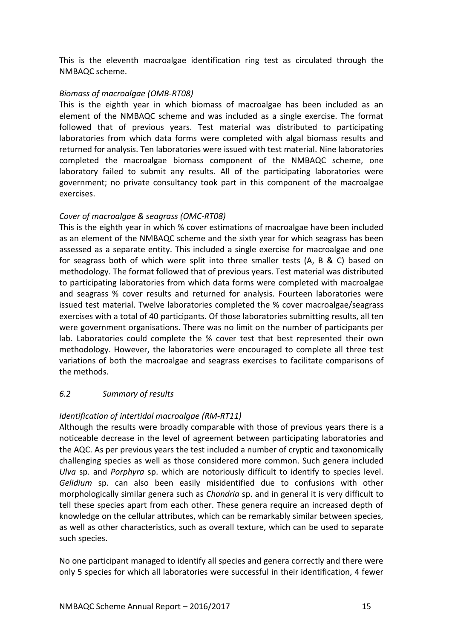This is the eleventh macroalgae identification ring test as circulated through the NMBAQC scheme.

#### *Biomass of macroalgae (OMB-RT08)*

This is the eighth year in which biomass of macroalgae has been included as an element of the NMBAQC scheme and was included as a single exercise. The format followed that of previous years. Test material was distributed to participating laboratories from which data forms were completed with algal biomass results and returned for analysis. Ten laboratories were issued with test material. Nine laboratories completed the macroalgae biomass component of the NMBAQC scheme, one laboratory failed to submit any results. All of the participating laboratories were government; no private consultancy took part in this component of the macroalgae exercises.

## *Cover of macroalgae & seagrass (OMC-RT08)*

This is the eighth year in which % cover estimations of macroalgae have been included as an element of the NMBAQC scheme and the sixth year for which seagrass has been assessed as a separate entity. This included a single exercise for macroalgae and one for seagrass both of which were split into three smaller tests (A, B & C) based on methodology. The format followed that of previous years. Test material was distributed to participating laboratories from which data forms were completed with macroalgae and seagrass % cover results and returned for analysis. Fourteen laboratories were issued test material. Twelve laboratories completed the % cover macroalgae/seagrass exercises with a total of 40 participants. Of those laboratories submitting results, all ten were government organisations. There was no limit on the number of participants per lab. Laboratories could complete the % cover test that best represented their own methodology. However, the laboratories were encouraged to complete all three test variations of both the macroalgae and seagrass exercises to facilitate comparisons of the methods.

## <span id="page-16-0"></span>*6.2 Summary of results*

## *Identification of intertidal macroalgae (RM-RT11)*

Although the results were broadly comparable with those of previous years there is a noticeable decrease in the level of agreement between participating laboratories and the AQC. As per previous years the test included a number of cryptic and taxonomically challenging species as well as those considered more common. Such genera included *Ulva* sp. and *Porphyra* sp. which are notoriously difficult to identify to species level. *Gelidium* sp. can also been easily misidentified due to confusions with other morphologically similar genera such as *Chondria* sp. and in general it is very difficult to tell these species apart from each other. These genera require an increased depth of knowledge on the cellular attributes, which can be remarkably similar between species, as well as other characteristics, such as overall texture, which can be used to separate such species.

No one participant managed to identify all species and genera correctly and there were only 5 species for which all laboratories were successful in their identification, 4 fewer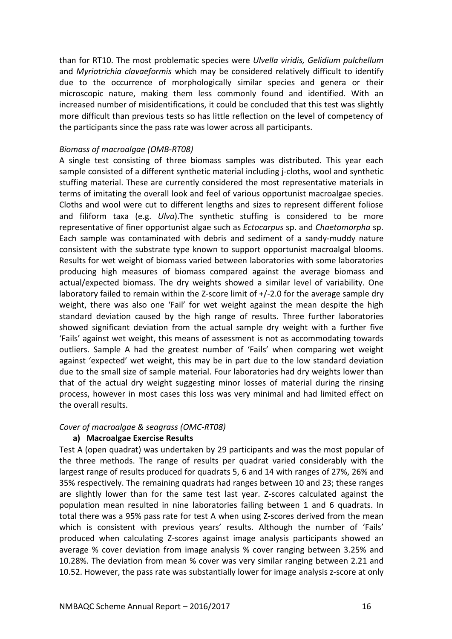than for RT10. The most problematic species were *Ulvella viridis, Gelidium pulchellum* and *Myriotrichia clavaeformis* which may be considered relatively difficult to identify due to the occurrence of morphologically similar species and genera or their microscopic nature, making them less commonly found and identified. With an increased number of misidentifications, it could be concluded that this test was slightly more difficult than previous tests so has little reflection on the level of competency of the participants since the pass rate was lower across all participants.

#### *Biomass of macroalgae (OMB-RT08)*

A single test consisting of three biomass samples was distributed. This year each sample consisted of a different synthetic material including j-cloths, wool and synthetic stuffing material. These are currently considered the most representative materials in terms of imitating the overall look and feel of various opportunist macroalgae species. Cloths and wool were cut to different lengths and sizes to represent different foliose and filiform taxa (e.g. *Ulva*).The synthetic stuffing is considered to be more representative of finer opportunist algae such as *Ectocarpus* sp. and *Chaetomorpha* sp. Each sample was contaminated with debris and sediment of a sandy-muddy nature consistent with the substrate type known to support opportunist macroalgal blooms. Results for wet weight of biomass varied between laboratories with some laboratories producing high measures of biomass compared against the average biomass and actual/expected biomass. The dry weights showed a similar level of variability. One laboratory failed to remain within the Z-score limit of  $+/-2.0$  for the average sample dry weight, there was also one 'Fail' for wet weight against the mean despite the high standard deviation caused by the high range of results. Three further laboratories showed significant deviation from the actual sample dry weight with a further five 'Fails' against wet weight, this means of assessment is not as accommodating towards outliers. Sample A had the greatest number of 'Fails' when comparing wet weight against 'expected' wet weight, this may be in part due to the low standard deviation due to the small size of sample material. Four laboratories had dry weights lower than that of the actual dry weight suggesting minor losses of material during the rinsing process, however in most cases this loss was very minimal and had limited effect on the overall results.

#### *Cover of macroalgae & seagrass (OMC-RT08)*

## **a) Macroalgae Exercise Results**

Test A (open quadrat) was undertaken by 29 participants and was the most popular of the three methods. The range of results per quadrat varied considerably with the largest range of results produced for quadrats 5, 6 and 14 with ranges of 27%, 26% and 35% respectively. The remaining quadrats had ranges between 10 and 23; these ranges are slightly lower than for the same test last year. Z-scores calculated against the population mean resulted in nine laboratories failing between 1 and 6 quadrats. In total there was a 95% pass rate for test A when using Z-scores derived from the mean which is consistent with previous years' results. Although the number of 'Fails' produced when calculating Z-scores against image analysis participants showed an average % cover deviation from image analysis % cover ranging between 3.25% and 10.28%. The deviation from mean % cover was very similar ranging between 2.21 and 10.52. However, the pass rate was substantially lower for image analysis z-score at only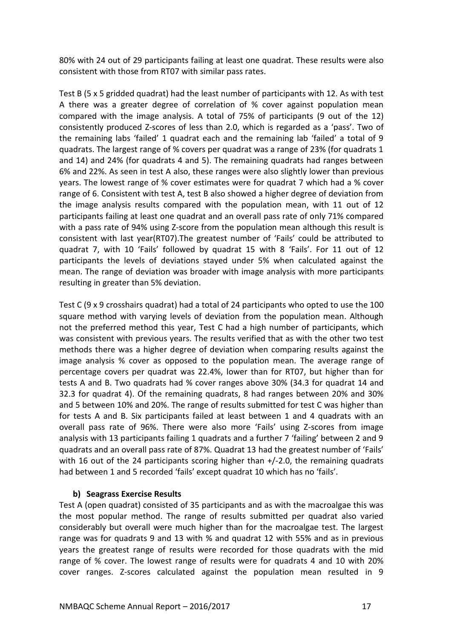80% with 24 out of 29 participants failing at least one quadrat. These results were also consistent with those from RT07 with similar pass rates.

Test B (5 x 5 gridded quadrat) had the least number of participants with 12. As with test A there was a greater degree of correlation of % cover against population mean compared with the image analysis. A total of 75% of participants (9 out of the 12) consistently produced Z-scores of less than 2.0, which is regarded as a 'pass'. Two of the remaining labs 'failed' 1 quadrat each and the remaining lab 'failed' a total of 9 quadrats. The largest range of % covers per quadrat was a range of 23% (for quadrats 1 and 14) and 24% (for quadrats 4 and 5). The remaining quadrats had ranges between 6% and 22%. As seen in test A also, these ranges were also slightly lower than previous years. The lowest range of % cover estimates were for quadrat 7 which had a % cover range of 6. Consistent with test A, test B also showed a higher degree of deviation from the image analysis results compared with the population mean, with 11 out of 12 participants failing at least one quadrat and an overall pass rate of only 71% compared with a pass rate of 94% using Z-score from the population mean although this result is consistent with last year(RT07).The greatest number of 'Fails' could be attributed to quadrat 7, with 10 'Fails' followed by quadrat 15 with 8 'Fails'. For 11 out of 12 participants the levels of deviations stayed under 5% when calculated against the mean. The range of deviation was broader with image analysis with more participants resulting in greater than 5% deviation.

Test C (9 x 9 crosshairs quadrat) had a total of 24 participants who opted to use the 100 square method with varying levels of deviation from the population mean. Although not the preferred method this year, Test C had a high number of participants, which was consistent with previous years. The results verified that as with the other two test methods there was a higher degree of deviation when comparing results against the image analysis % cover as opposed to the population mean. The average range of percentage covers per quadrat was 22.4%, lower than for RT07, but higher than for tests A and B. Two quadrats had % cover ranges above 30% (34.3 for quadrat 14 and 32.3 for quadrat 4). Of the remaining quadrats, 8 had ranges between 20% and 30% and 5 between 10% and 20%. The range of results submitted for test C was higher than for tests A and B. Six participants failed at least between 1 and 4 quadrats with an overall pass rate of 96%. There were also more 'Fails' using Z-scores from image analysis with 13 participants failing 1 quadrats and a further 7 'failing' between 2 and 9 quadrats and an overall pass rate of 87%. Quadrat 13 had the greatest number of 'Fails' with 16 out of the 24 participants scoring higher than  $+/-2.0$ , the remaining quadrats had between 1 and 5 recorded 'fails' except quadrat 10 which has no 'fails'.

## **b) Seagrass Exercise Results**

Test A (open quadrat) consisted of 35 participants and as with the macroalgae this was the most popular method. The range of results submitted per quadrat also varied considerably but overall were much higher than for the macroalgae test. The largest range was for quadrats 9 and 13 with % and quadrat 12 with 55% and as in previous years the greatest range of results were recorded for those quadrats with the mid range of % cover. The lowest range of results were for quadrats 4 and 10 with 20% cover ranges. Z-scores calculated against the population mean resulted in 9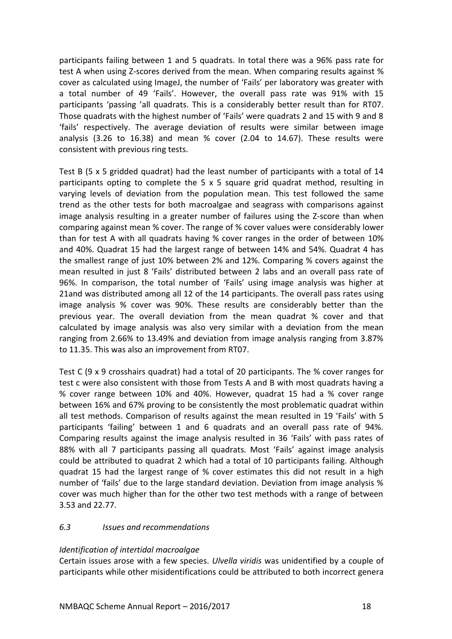participants failing between 1 and 5 quadrats. In total there was a 96% pass rate for test A when using Z-scores derived from the mean. When comparing results against % cover as calculated using ImageJ, the number of 'Fails' per laboratory was greater with a total number of 49 'Fails'. However, the overall pass rate was 91% with 15 participants 'passing 'all quadrats. This is a considerably better result than for RT07. Those quadrats with the highest number of 'Fails' were quadrats 2 and 15 with 9 and 8 'fails' respectively. The average deviation of results were similar between image analysis (3.26 to 16.38) and mean % cover (2.04 to 14.67). These results were consistent with previous ring tests.

Test B (5 x 5 gridded quadrat) had the least number of participants with a total of 14 participants opting to complete the 5 x 5 square grid quadrat method, resulting in varying levels of deviation from the population mean. This test followed the same trend as the other tests for both macroalgae and seagrass with comparisons against image analysis resulting in a greater number of failures using the Z-score than when comparing against mean % cover. The range of % cover values were considerably lower than for test A with all quadrats having % cover ranges in the order of between 10% and 40%. Quadrat 15 had the largest range of between 14% and 54%. Quadrat 4 has the smallest range of just 10% between 2% and 12%. Comparing % covers against the mean resulted in just 8 'Fails' distributed between 2 labs and an overall pass rate of 96%. In comparison, the total number of 'Fails' using image analysis was higher at 21and was distributed among all 12 of the 14 participants. The overall pass rates using image analysis % cover was 90%. These results are considerably better than the previous year. The overall deviation from the mean quadrat % cover and that calculated by image analysis was also very similar with a deviation from the mean ranging from 2.66% to 13.49% and deviation from image analysis ranging from 3.87% to 11.35. This was also an improvement from RT07.

Test C (9 x 9 crosshairs quadrat) had a total of 20 participants. The % cover ranges for test c were also consistent with those from Tests A and B with most quadrats having a % cover range between 10% and 40%. However, quadrat 15 had a % cover range between 16% and 67% proving to be consistently the most problematic quadrat within all test methods. Comparison of results against the mean resulted in 19 'Fails' with 5 participants 'failing' between 1 and 6 quadrats and an overall pass rate of 94%. Comparing results against the image analysis resulted in 36 'Fails' with pass rates of 88% with all 7 participants passing all quadrats. Most 'Fails' against image analysis could be attributed to quadrat 2 which had a total of 10 participants failing. Although quadrat 15 had the largest range of % cover estimates this did not result in a high number of 'fails' due to the large standard deviation. Deviation from image analysis % cover was much higher than for the other two test methods with a range of between 3.53 and 22.77.

## <span id="page-19-0"></span>*6.3 Issues and recommendations*

## *Identification of intertidal macroalgae*

Certain issues arose with a few species. *Ulvella viridis* was unidentified by a couple of participants while other misidentifications could be attributed to both incorrect genera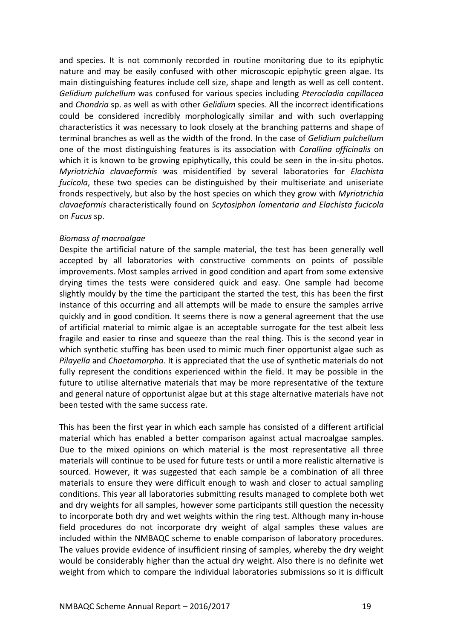and species. It is not commonly recorded in routine monitoring due to its epiphytic nature and may be easily confused with other microscopic epiphytic green algae. Its main distinguishing features include cell size, shape and length as well as cell content. *Gelidium pulchellum* was confused for various species including *Pterocladia capillacea* and *Chondria* sp. as well as with other *Gelidium* species. All the incorrect identifications could be considered incredibly morphologically similar and with such overlapping characteristics it was necessary to look closely at the branching patterns and shape of terminal branches as well as the width of the frond. In the case of *Gelidium pulchellum* one of the most distinguishing features is its association with *Corallina officinalis* on which it is known to be growing epiphytically, this could be seen in the in-situ photos. *Myriotrichia clavaeformis* was misidentified by several laboratories for *Elachista fucicola*, these two species can be distinguished by their multiseriate and uniseriate fronds respectively, but also by the host species on which they grow with *Myriotrichia clavaeformis* characteristically found on *Scytosiphon lomentaria and Elachista fucicola* on *Fucus* sp.

#### *Biomass of macroalgae*

Despite the artificial nature of the sample material, the test has been generally well accepted by all laboratories with constructive comments on points of possible improvements. Most samples arrived in good condition and apart from some extensive drying times the tests were considered quick and easy. One sample had become slightly mouldy by the time the participant the started the test, this has been the first instance of this occurring and all attempts will be made to ensure the samples arrive quickly and in good condition. It seems there is now a general agreement that the use of artificial material to mimic algae is an acceptable surrogate for the test albeit less fragile and easier to rinse and squeeze than the real thing. This is the second year in which synthetic stuffing has been used to mimic much finer opportunist algae such as *Pilayella* and *Chaetomorpha*. It is appreciated that the use of synthetic materials do not fully represent the conditions experienced within the field. It may be possible in the future to utilise alternative materials that may be more representative of the texture and general nature of opportunist algae but at this stage alternative materials have not been tested with the same success rate.

This has been the first year in which each sample has consisted of a different artificial material which has enabled a better comparison against actual macroalgae samples. Due to the mixed opinions on which material is the most representative all three materials will continue to be used for future tests or until a more realistic alternative is sourced. However, it was suggested that each sample be a combination of all three materials to ensure they were difficult enough to wash and closer to actual sampling conditions. This year all laboratories submitting results managed to complete both wet and dry weights for all samples, however some participants still question the necessity to incorporate both dry and wet weights within the ring test. Although many in-house field procedures do not incorporate dry weight of algal samples these values are included within the NMBAQC scheme to enable comparison of laboratory procedures. The values provide evidence of insufficient rinsing of samples, whereby the dry weight would be considerably higher than the actual dry weight. Also there is no definite wet weight from which to compare the individual laboratories submissions so it is difficult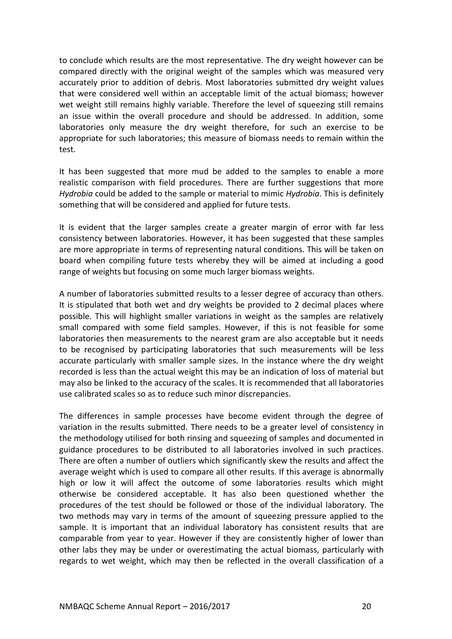to conclude which results are the most representative. The dry weight however can be compared directly with the original weight of the samples which was measured very accurately prior to addition of debris. Most laboratories submitted dry weight values that were considered well within an acceptable limit of the actual biomass; however wet weight still remains highly variable. Therefore the level of squeezing still remains an issue within the overall procedure and should be addressed. In addition, some laboratories only measure the dry weight therefore, for such an exercise to be appropriate for such laboratories; this measure of biomass needs to remain within the test.

It has been suggested that more mud be added to the samples to enable a more realistic comparison with field procedures. There are further suggestions that more *Hydrobia* could be added to the sample or material to mimic *Hydrobia*. This is definitely something that will be considered and applied for future tests.

It is evident that the larger samples create a greater margin of error with far less consistency between laboratories. However, it has been suggested that these samples are more appropriate in terms of representing natural conditions. This will be taken on board when compiling future tests whereby they will be aimed at including a good range of weights but focusing on some much larger biomass weights.

A number of laboratories submitted results to a lesser degree of accuracy than others. It is stipulated that both wet and dry weights be provided to 2 decimal places where possible. This will highlight smaller variations in weight as the samples are relatively small compared with some field samples. However, if this is not feasible for some laboratories then measurements to the nearest gram are also acceptable but it needs to be recognised by participating laboratories that such measurements will be less accurate particularly with smaller sample sizes. In the instance where the dry weight recorded is less than the actual weight this may be an indication of loss of material but may also be linked to the accuracy of the scales. It is recommended that all laboratories use calibrated scales so as to reduce such minor discrepancies.

The differences in sample processes have become evident through the degree of variation in the results submitted. There needs to be a greater level of consistency in the methodology utilised for both rinsing and squeezing of samples and documented in guidance procedures to be distributed to all laboratories involved in such practices. There are often a number of outliers which significantly skew the results and affect the average weight which is used to compare all other results. If this average is abnormally high or low it will affect the outcome of some laboratories results which might otherwise be considered acceptable. It has also been questioned whether the procedures of the test should be followed or those of the individual laboratory. The two methods may vary in terms of the amount of squeezing pressure applied to the sample. It is important that an individual laboratory has consistent results that are comparable from year to year. However if they are consistently higher of lower than other labs they may be under or overestimating the actual biomass, particularly with regards to wet weight, which may then be reflected in the overall classification of a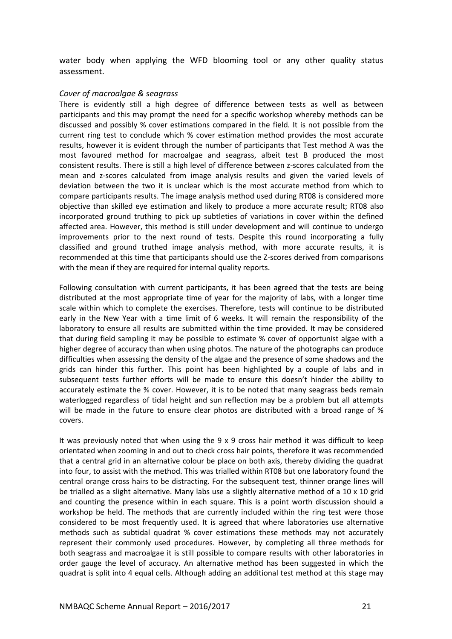water body when applying the WFD blooming tool or any other quality status assessment.

#### *Cover of macroalgae & seagrass*

There is evidently still a high degree of difference between tests as well as between participants and this may prompt the need for a specific workshop whereby methods can be discussed and possibly % cover estimations compared in the field. It is not possible from the current ring test to conclude which % cover estimation method provides the most accurate results, however it is evident through the number of participants that Test method A was the most favoured method for macroalgae and seagrass, albeit test B produced the most consistent results. There is still a high level of difference between z-scores calculated from the mean and z-scores calculated from image analysis results and given the varied levels of deviation between the two it is unclear which is the most accurate method from which to compare participants results. The image analysis method used during RT08 is considered more objective than skilled eye estimation and likely to produce a more accurate result; RT08 also incorporated ground truthing to pick up subtleties of variations in cover within the defined affected area. However, this method is still under development and will continue to undergo improvements prior to the next round of tests. Despite this round incorporating a fully classified and ground truthed image analysis method, with more accurate results, it is recommended at this time that participants should use the Z-scores derived from comparisons with the mean if they are required for internal quality reports.

Following consultation with current participants, it has been agreed that the tests are being distributed at the most appropriate time of year for the majority of labs, with a longer time scale within which to complete the exercises. Therefore, tests will continue to be distributed early in the New Year with a time limit of 6 weeks. It will remain the responsibility of the laboratory to ensure all results are submitted within the time provided. It may be considered that during field sampling it may be possible to estimate % cover of opportunist algae with a higher degree of accuracy than when using photos. The nature of the photographs can produce difficulties when assessing the density of the algae and the presence of some shadows and the grids can hinder this further. This point has been highlighted by a couple of labs and in subsequent tests further efforts will be made to ensure this doesn't hinder the ability to accurately estimate the % cover. However, it is to be noted that many seagrass beds remain waterlogged regardless of tidal height and sun reflection may be a problem but all attempts will be made in the future to ensure clear photos are distributed with a broad range of % covers.

It was previously noted that when using the 9 x 9 cross hair method it was difficult to keep orientated when zooming in and out to check cross hair points, therefore it was recommended that a central grid in an alternative colour be place on both axis, thereby dividing the quadrat into four, to assist with the method. This was trialled within RT08 but one laboratory found the central orange cross hairs to be distracting. For the subsequent test, thinner orange lines will be trialled as a slight alternative. Many labs use a slightly alternative method of a 10 x 10 grid and counting the presence within in each square. This is a point worth discussion should a workshop be held. The methods that are currently included within the ring test were those considered to be most frequently used. It is agreed that where laboratories use alternative methods such as subtidal quadrat % cover estimations these methods may not accurately represent their commonly used procedures. However, by completing all three methods for both seagrass and macroalgae it is still possible to compare results with other laboratories in order gauge the level of accuracy. An alternative method has been suggested in which the quadrat is split into 4 equal cells. Although adding an additional test method at this stage may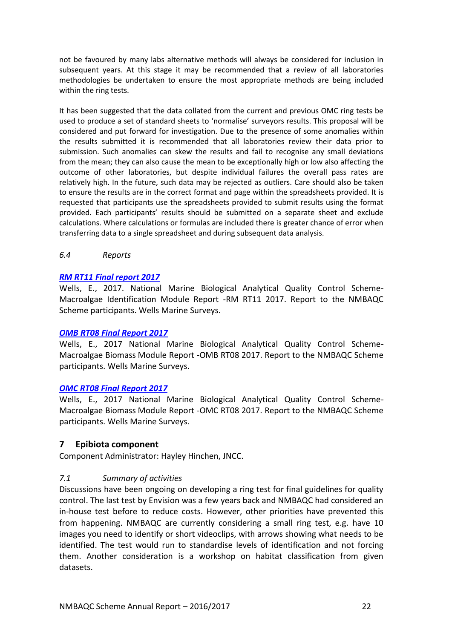not be favoured by many labs alternative methods will always be considered for inclusion in subsequent years. At this stage it may be recommended that a review of all laboratories methodologies be undertaken to ensure the most appropriate methods are being included within the ring tests.

It has been suggested that the data collated from the current and previous OMC ring tests be used to produce a set of standard sheets to 'normalise' surveyors results. This proposal will be considered and put forward for investigation. Due to the presence of some anomalies within the results submitted it is recommended that all laboratories review their data prior to submission. Such anomalies can skew the results and fail to recognise any small deviations from the mean; they can also cause the mean to be exceptionally high or low also affecting the outcome of other laboratories, but despite individual failures the overall pass rates are relatively high. In the future, such data may be rejected as outliers. Care should also be taken to ensure the results are in the correct format and page within the spreadsheets provided. It is requested that participants use the spreadsheets provided to submit results using the format provided. Each participants' results should be submitted on a separate sheet and exclude calculations. Where calculations or formulas are included there is greater chance of error when transferring data to a single spreadsheet and during subsequent data analysis.

#### <span id="page-23-0"></span>*6.4 Reports*

#### *[RM RT11 Final report 2017](http://www.nmbaqcs.org/scheme-components/macroalgae/reports/rm-rt11-final-report/)*

Wells, E., 2017. National Marine Biological Analytical Quality Control Scheme-Macroalgae Identification Module Report -RM RT11 2017. Report to the NMBAQC Scheme participants. Wells Marine Surveys.

#### *[OMB RT08 Final Report](http://www.nmbaqcs.org/scheme-components/macroalgae/reports/omb-rt08-final-report/) 2017*

Wells, E., 2017 National Marine Biological Analytical Quality Control Scheme-Macroalgae Biomass Module Report -OMB RT08 2017. Report to the NMBAQC Scheme participants. Wells Marine Surveys.

#### *[OMC RT08 Final Report](http://www.nmbaqcs.org/scheme-components/macroalgae/reports/omc-rt08-macroalgae-seagrass-final-report/) 2017*

Wells, E., 2017 National Marine Biological Analytical Quality Control Scheme-Macroalgae Biomass Module Report -OMC RT08 2017. Report to the NMBAQC Scheme participants. Wells Marine Surveys.

#### <span id="page-23-1"></span>**7 Epibiota component**

Component Administrator: Hayley Hinchen, JNCC.

#### <span id="page-23-2"></span>*7.1 Summary of activities*

Discussions have been ongoing on developing a ring test for final guidelines for quality control. The last test by Envision was a few years back and NMBAQC had considered an in-house test before to reduce costs. However, other priorities have prevented this from happening. NMBAQC are currently considering a small ring test, e.g. have 10 images you need to identify or short videoclips, with arrows showing what needs to be identified. The test would run to standardise levels of identification and not forcing them. Another consideration is a workshop on habitat classification from given datasets.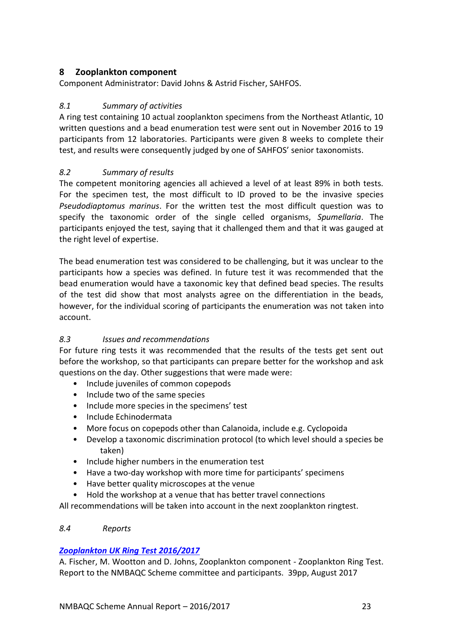# <span id="page-24-0"></span>**8 Zooplankton component**

Component Administrator: David Johns & Astrid Fischer, SAHFOS.

# <span id="page-24-1"></span>*8.1 Summary of activities*

A ring test containing 10 actual zooplankton specimens from the Northeast Atlantic, 10 written questions and a bead enumeration test were sent out in November 2016 to 19 participants from 12 laboratories. Participants were given 8 weeks to complete their test, and results were consequently judged by one of SAHFOS' senior taxonomists.

# <span id="page-24-2"></span>*8.2 Summary of results*

The competent monitoring agencies all achieved a level of at least 89% in both tests. For the specimen test, the most difficult to ID proved to be the invasive species *Pseudodiaptomus marinus*. For the written test the most difficult question was to specify the taxonomic order of the single celled organisms, *Spumellaria*. The participants enjoyed the test, saying that it challenged them and that it was gauged at the right level of expertise.

The bead enumeration test was considered to be challenging, but it was unclear to the participants how a species was defined. In future test it was recommended that the bead enumeration would have a taxonomic key that defined bead species. The results of the test did show that most analysts agree on the differentiation in the beads, however, for the individual scoring of participants the enumeration was not taken into account.

# <span id="page-24-3"></span>*8.3 Issues and recommendations*

For future ring tests it was recommended that the results of the tests get sent out before the workshop, so that participants can prepare better for the workshop and ask questions on the day. Other suggestions that were made were:

- Include juveniles of common copepods
- Include two of the same species
- Include more species in the specimens' test
- Include Echinodermata
- More focus on copepods other than Calanoida, include e.g. Cyclopoida
- Develop a taxonomic discrimination protocol (to which level should a species be taken)
- Include higher numbers in the enumeration test
- Have a two-day workshop with more time for participants' specimens
- Have better quality microscopes at the venue
- Hold the workshop at a venue that has better travel connections

All recommendations will be taken into account in the next zooplankton ringtest.

## <span id="page-24-4"></span>*8.4 Reports*

# *[Zooplankton UK Ring Test 2016/2017](http://www.nmbaqcs.org/scheme-components/zooplankton/reports/zooplankton-ring-test-report-2017/)*

A. Fischer, M. Wootton and D. Johns, Zooplankton component - Zooplankton Ring Test. Report to the NMBAQC Scheme committee and participants. 39pp, August 2017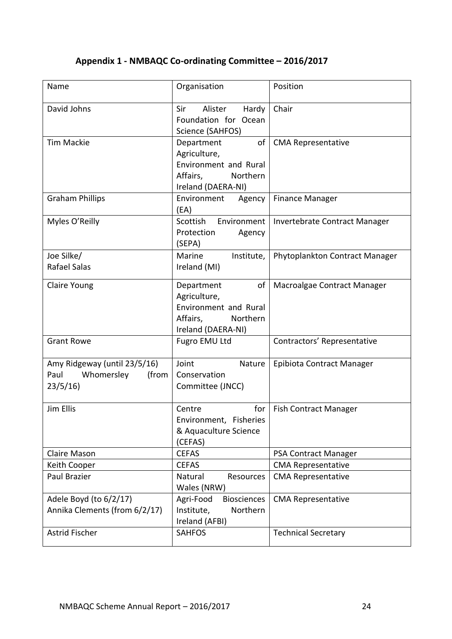# <span id="page-25-0"></span>**Appendix 1 - NMBAQC Co-ordinating Committee – 2016/2017**

| Name                                                                   | Organisation                                                                                            | Position                       |
|------------------------------------------------------------------------|---------------------------------------------------------------------------------------------------------|--------------------------------|
| David Johns                                                            | Sir<br>Alister<br>Hardy<br>Foundation for Ocean<br>Science (SAHFOS)                                     | Chair                          |
| <b>Tim Mackie</b>                                                      | of<br>Department<br>Agriculture,<br>Environment and Rural<br>Affairs,<br>Northern<br>Ireland (DAERA-NI) | <b>CMA Representative</b>      |
| <b>Graham Phillips</b>                                                 | Environment<br>Agency<br>(EA)                                                                           | <b>Finance Manager</b>         |
| Myles O'Reilly                                                         | Scottish<br>Environment<br>Protection<br>Agency<br>(SEPA)                                               | Invertebrate Contract Manager  |
| Joe Silke/<br><b>Rafael Salas</b>                                      | Marine<br>Institute,<br>Ireland (MI)                                                                    | Phytoplankton Contract Manager |
| Claire Young                                                           | Department<br>of<br>Agriculture,<br>Environment and Rural<br>Affairs,<br>Northern<br>Ireland (DAERA-NI) | Macroalgae Contract Manager    |
| <b>Grant Rowe</b>                                                      | Fugro EMU Ltd                                                                                           | Contractors' Representative    |
| Amy Ridgeway (until 23/5/16)<br>Paul<br>Whomersley<br>(from<br>23/5/16 | Joint<br>Nature<br>Conservation<br>Committee (JNCC)                                                     | Epibiota Contract Manager      |
| Jim Ellis                                                              | for<br>Centre<br>Environment, Fisheries<br>& Aquaculture Science<br>(CEFAS)                             | <b>Fish Contract Manager</b>   |
| Claire Mason                                                           | <b>CEFAS</b>                                                                                            | PSA Contract Manager           |
| Keith Cooper                                                           | <b>CEFAS</b>                                                                                            | <b>CMA Representative</b>      |
| Paul Brazier                                                           | Natural<br>Resources<br>Wales (NRW)                                                                     | <b>CMA Representative</b>      |
| Adele Boyd (to 6/2/17)<br>Annika Clements (from 6/2/17)                | <b>Biosciences</b><br>Agri-Food<br>Northern<br>Institute,<br>Ireland (AFBI)                             | <b>CMA Representative</b>      |
| Astrid Fischer                                                         | <b>SAHFOS</b>                                                                                           | <b>Technical Secretary</b>     |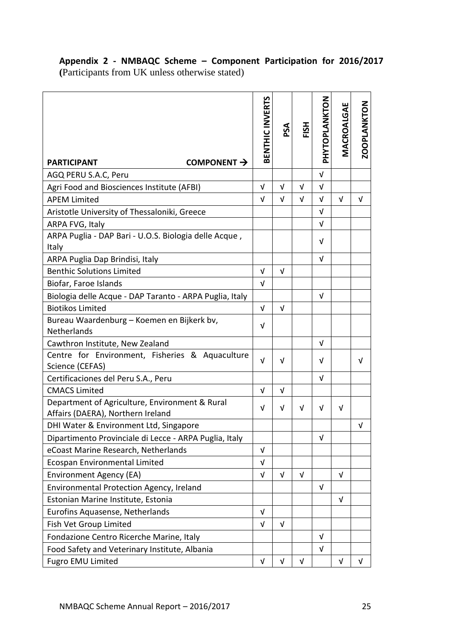# <span id="page-26-0"></span>**Appendix 2 - NMBAQC Scheme – Component Participation for 2016/2017 (**Participants from UK unless otherwise stated)

| COMPONENT $\rightarrow$<br><b>PARTICIPANT</b>                                       | BENTHIC INVERTS | PSA        | FISH       | PHYTOPLANKTON | <b>MACROALGAE</b> | ZOOPLANKTON |
|-------------------------------------------------------------------------------------|-----------------|------------|------------|---------------|-------------------|-------------|
| AGQ PERU S.A.C, Peru                                                                |                 |            |            | $\sqrt{ }$    |                   |             |
| Agri Food and Biosciences Institute (AFBI)                                          | $\sqrt{ }$      | $\sqrt{ }$ | $\sqrt{ }$ | $\sqrt{ }$    |                   |             |
| <b>APEM Limited</b>                                                                 | V               | $\sqrt{ }$ | $\sqrt{ }$ | $\sqrt{ }$    | $\sqrt{ }$        | $\sqrt{ }$  |
| Aristotle University of Thessaloniki, Greece                                        |                 |            |            | V             |                   |             |
| ARPA FVG, Italy                                                                     |                 |            |            | $\sqrt{ }$    |                   |             |
| ARPA Puglia - DAP Bari - U.O.S. Biologia delle Acque,<br>Italy                      |                 |            |            | $\sqrt{ }$    |                   |             |
| ARPA Puglia Dap Brindisi, Italy                                                     |                 |            |            | $\sqrt{ }$    |                   |             |
| <b>Benthic Solutions Limited</b>                                                    | V               | $\sqrt{ }$ |            |               |                   |             |
| Biofar, Faroe Islands                                                               | V               |            |            |               |                   |             |
| Biologia delle Acque - DAP Taranto - ARPA Puglia, Italy                             |                 |            |            | $\sqrt{ }$    |                   |             |
| <b>Biotikos Limited</b>                                                             | $\sqrt{ }$      | $\sqrt{ }$ |            |               |                   |             |
| Bureau Waardenburg - Koemen en Bijkerk bv,<br>Netherlands                           | $\sqrt{ }$      |            |            |               |                   |             |
| Cawthron Institute, New Zealand                                                     |                 |            |            | V             |                   |             |
| Centre for Environment, Fisheries & Aquaculture<br>Science (CEFAS)                  | $\sqrt{ }$      | V          |            | V             |                   | V           |
| Certificaciones del Peru S.A., Peru                                                 |                 |            |            | $\sqrt{ }$    |                   |             |
| <b>CMACS Limited</b>                                                                | V               | $\sqrt{ }$ |            |               |                   |             |
| Department of Agriculture, Environment & Rural<br>Affairs (DAERA), Northern Ireland | $\sqrt{ }$      | $\sqrt{ }$ | $\sqrt{ }$ | $\sqrt{ }$    | $\sqrt{ }$        |             |
| DHI Water & Environment Ltd, Singapore                                              |                 |            |            |               |                   | V           |
| Dipartimento Provinciale di Lecce - ARPA Puglia, Italy                              |                 |            |            | $\sqrt{ }$    |                   |             |
| eCoast Marine Research, Netherlands                                                 | $\sqrt{ }$      |            |            |               |                   |             |
| Ecospan Environmental Limited                                                       | V               |            |            |               |                   |             |
| Environment Agency (EA)                                                             | $\sqrt{ }$      | $\sqrt{ }$ | $\sqrt{ }$ |               | $\sqrt{ }$        |             |
| Environmental Protection Agency, Ireland                                            |                 |            |            | $\sqrt{ }$    |                   |             |
| Estonian Marine Institute, Estonia                                                  |                 |            |            |               | V                 |             |
| Eurofins Aquasense, Netherlands                                                     | $\sqrt{ }$      |            |            |               |                   |             |
| Fish Vet Group Limited                                                              | V               | $\sqrt{ }$ |            |               |                   |             |
| Fondazione Centro Ricerche Marine, Italy                                            |                 |            |            | V             |                   |             |
| Food Safety and Veterinary Institute, Albania                                       |                 |            |            | V             |                   |             |
| <b>Fugro EMU Limited</b>                                                            | $\sqrt{ }$      | $\sqrt{ }$ | $\sqrt{ }$ |               | $\sqrt{ }$        | V           |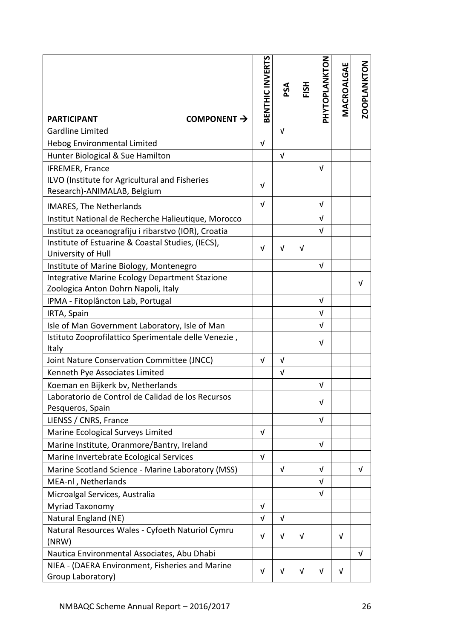|                                                                                       | BENTHIC INVERTS | PSA        | FISH       | PHYTOPLANKTON | MACROALGAE | <b>ZOOPLANKTON</b> |
|---------------------------------------------------------------------------------------|-----------------|------------|------------|---------------|------------|--------------------|
| COMPONENT $\rightarrow$<br><b>PARTICIPANT</b>                                         |                 |            |            |               |            |                    |
| <b>Gardline Limited</b>                                                               |                 | $\sqrt{ }$ |            |               |            |                    |
| Hebog Environmental Limited                                                           | $\sqrt{ }$      |            |            |               |            |                    |
| Hunter Biological & Sue Hamilton                                                      |                 | $\sqrt{ }$ |            |               |            |                    |
| IFREMER, France                                                                       |                 |            |            | V             |            |                    |
| ILVO (Institute for Agricultural and Fisheries<br>Research)-ANIMALAB, Belgium         | $\sqrt{ }$      |            |            |               |            |                    |
| <b>IMARES, The Netherlands</b>                                                        | $\sqrt{ }$      |            |            | V             |            |                    |
| Institut National de Recherche Halieutique, Morocco                                   |                 |            |            | V             |            |                    |
| Institut za oceanografiju i ribarstvo (IOR), Croatia                                  |                 |            |            | $\sqrt{ }$    |            |                    |
| Institute of Estuarine & Coastal Studies, (IECS),<br>University of Hull               | $\sqrt{ }$      | V          | $\sqrt{ }$ |               |            |                    |
| Institute of Marine Biology, Montenegro                                               |                 |            |            | $\sqrt{ }$    |            |                    |
| Integrative Marine Ecology Department Stazione<br>Zoologica Anton Dohrn Napoli, Italy |                 |            |            |               |            | V                  |
| IPMA - Fitoplâncton Lab, Portugal                                                     |                 |            |            | V             |            |                    |
| IRTA, Spain                                                                           |                 |            |            | $\sqrt{ }$    |            |                    |
| Isle of Man Government Laboratory, Isle of Man                                        |                 |            |            | $\sqrt{ }$    |            |                    |
| Istituto Zooprofilattico Sperimentale delle Venezie,                                  |                 |            |            |               |            |                    |
| Italy                                                                                 |                 |            |            | V             |            |                    |
| Joint Nature Conservation Committee (JNCC)                                            | $\sqrt{ }$      | $\sqrt{ }$ |            |               |            |                    |
| Kenneth Pye Associates Limited                                                        |                 | V          |            |               |            |                    |
| Koeman en Bijkerk bv, Netherlands                                                     |                 |            |            | V             |            |                    |
| Laboratorio de Control de Calidad de los Recursos                                     |                 |            |            | V             |            |                    |
| Pesqueros, Spain                                                                      |                 |            |            |               |            |                    |
| LIENSS / CNRS, France                                                                 |                 |            |            | $\sqrt{ }$    |            |                    |
| Marine Ecological Surveys Limited                                                     | V               |            |            |               |            |                    |
| Marine Institute, Oranmore/Bantry, Ireland                                            |                 |            |            | $\sqrt{ }$    |            |                    |
| Marine Invertebrate Ecological Services                                               | $\sqrt{ }$      |            |            |               |            |                    |
| Marine Scotland Science - Marine Laboratory (MSS)                                     |                 | V          |            | V             |            | $\sqrt{ }$         |
| MEA-nl, Netherlands                                                                   |                 |            |            | V             |            |                    |
| Microalgal Services, Australia                                                        |                 |            |            | $\sqrt{ }$    |            |                    |
| Myriad Taxonomy                                                                       | V               |            |            |               |            |                    |
| Natural England (NE)                                                                  | V               | V          |            |               |            |                    |
| Natural Resources Wales - Cyfoeth Naturiol Cymru<br>(NRW)                             | V               | V          | V          |               | $\sqrt{ }$ |                    |
| Nautica Environmental Associates, Abu Dhabi                                           |                 |            |            |               |            | $\sqrt{ }$         |
| NIEA - (DAERA Environment, Fisheries and Marine<br>Group Laboratory)                  | V               | V          | $\sqrt{ }$ | v             | $\sqrt{ }$ |                    |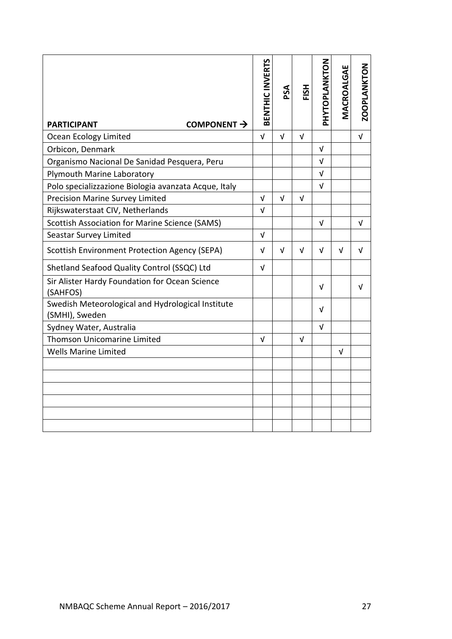| COMPONENT $\rightarrow$<br><b>PARTICIPANT</b>                       | BENTHIC INVERTS | PSA        | FISH       | PHYTOPLANKTON | MACROALGAE | <b>ZOOPLANKTON</b> |
|---------------------------------------------------------------------|-----------------|------------|------------|---------------|------------|--------------------|
| Ocean Ecology Limited                                               | $\sqrt{ }$      | $\sqrt{ }$ | $\sqrt{ }$ |               |            | $\sqrt{ }$         |
| Orbicon, Denmark                                                    |                 |            |            | $\sqrt{ }$    |            |                    |
| Organismo Nacional De Sanidad Pesquera, Peru                        |                 |            |            | $\sqrt{ }$    |            |                    |
| Plymouth Marine Laboratory                                          |                 |            |            | $\sqrt{ }$    |            |                    |
| Polo specializzazione Biologia avanzata Acque, Italy                |                 |            |            | V             |            |                    |
| Precision Marine Survey Limited                                     | $\sqrt{ }$      | $\sqrt{ }$ | $\sqrt{ }$ |               |            |                    |
| Rijkswaterstaat CIV, Netherlands                                    | $\sqrt{ }$      |            |            |               |            |                    |
| <b>Scottish Association for Marine Science (SAMS)</b>               |                 |            |            | V             |            | $\sqrt{ }$         |
| Seastar Survey Limited                                              | $\sqrt{ }$      |            |            |               |            |                    |
| Scottish Environment Protection Agency (SEPA)                       | $\sqrt{ }$      | $\sqrt{ }$ | V          | V             | $\sqrt{ }$ | V                  |
| Shetland Seafood Quality Control (SSQC) Ltd                         | V               |            |            |               |            |                    |
| Sir Alister Hardy Foundation for Ocean Science<br>(SAHFOS)          |                 |            |            | V             |            | V                  |
| Swedish Meteorological and Hydrological Institute<br>(SMHI), Sweden |                 |            |            | V             |            |                    |
| Sydney Water, Australia                                             |                 |            |            | v             |            |                    |
| <b>Thomson Unicomarine Limited</b>                                  | V               |            | $\sqrt{ }$ |               |            |                    |
| <b>Wells Marine Limited</b>                                         |                 |            |            |               | V          |                    |
|                                                                     |                 |            |            |               |            |                    |
|                                                                     |                 |            |            |               |            |                    |
|                                                                     |                 |            |            |               |            |                    |
|                                                                     |                 |            |            |               |            |                    |
|                                                                     |                 |            |            |               |            |                    |
|                                                                     |                 |            |            |               |            |                    |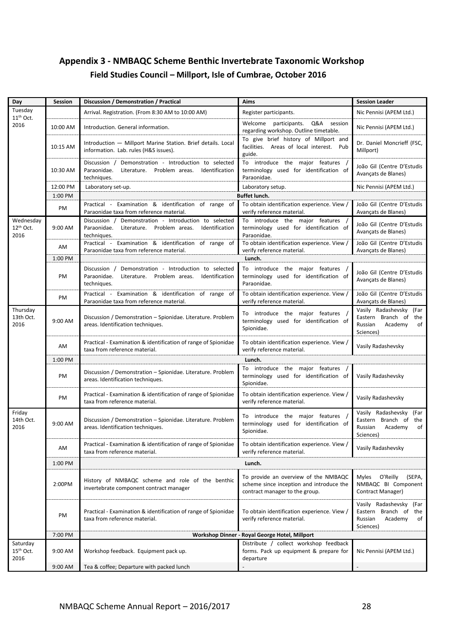# <span id="page-29-0"></span>**Appendix 3 - NMBAQC Scheme Benthic Invertebrate Taxonomic Workshop Field Studies Council – Millport, Isle of Cumbrae, October 2016**

| Day                                       | Session   | Discussion / Demonstration / Practical                                                                                                 | <b>Aims</b>                                                                                                        | <b>Session Leader</b>                                                                           |
|-------------------------------------------|-----------|----------------------------------------------------------------------------------------------------------------------------------------|--------------------------------------------------------------------------------------------------------------------|-------------------------------------------------------------------------------------------------|
| Tuesday<br>$11th$ Oct.                    |           | Arrival. Registration. (From 8:30 AM to 10:00 AM)                                                                                      | Register participants.                                                                                             | Nic Pennisi (APEM Ltd.)                                                                         |
| 2016                                      | 10:00 AM  | Introduction. General information.                                                                                                     | Welcome<br>participants.<br>Q&A<br>session<br>regarding workshop. Outline timetable.                               | Nic Pennisi (APEM Ltd.)                                                                         |
|                                           | 10:15 AM  | Introduction - Millport Marine Station. Brief details. Local<br>information. Lab. rules (H&S issues).                                  | To give brief history of Millport and<br>facilities. Areas of local interest. Pub<br>guide.                        | Dr. Daniel Moncrieff (FSC,<br>Millport)                                                         |
|                                           | 10:30 AM  | Discussion / Demonstration - Introduction to selected<br>Paraonidae.<br>Literature. Problem areas.<br>Identification<br>techniques.    | To introduce the major features /<br>terminology used for identification of<br>Paraonidae.                         | João Gil (Centre D'Estudis<br>Avançats de Blanes)                                               |
|                                           | 12:00 PM  | Laboratory set-up.                                                                                                                     | Laboratory setup.                                                                                                  | Nic Pennisi (APEM Ltd.)                                                                         |
|                                           | 1:00 PM   |                                                                                                                                        | <b>Buffet lunch.</b>                                                                                               |                                                                                                 |
|                                           | PM        | Practical - Examination & identification of range of<br>Paraonidae taxa from reference material.                                       | To obtain identification experience. View /<br>verify reference material.                                          | João Gil (Centre D'Estudis<br>Avançats de Blanes)                                               |
| Wednesday<br>12th Oct.<br>2016            | 9:00 AM   | Demonstration - Introduction to selected<br>Discussion /<br>Paraonidae.<br>Literature. Problem areas.<br>Identification<br>techniques. | To introduce the major features /<br>terminology used for identification of<br>Paraonidae.                         | João Gil (Centre D'Estudis<br>Avançats de Blanes)                                               |
|                                           | AM        | Practical - Examination & identification of range of<br>Paraonidae taxa from reference material.                                       | To obtain identification experience. View /<br>verify reference material.                                          | João Gil (Centre D'Estudis<br>Avancats de Blanes)                                               |
|                                           | 1:00 PM   |                                                                                                                                        | Lunch.                                                                                                             |                                                                                                 |
|                                           | <b>PM</b> | Discussion /<br>Demonstration - Introduction to selected<br>Paraonidae.<br>Literature. Problem areas. Identification<br>techniques.    | To introduce the major features<br>terminology used for identification of<br>Paraonidae.                           | João Gil (Centre D'Estudis<br>Avançats de Blanes)                                               |
|                                           | PM        | Practical - Examination & identification of range of<br>Paraonidae taxa from reference material.                                       | To obtain identification experience. View /<br>verify reference material.                                          | João Gil (Centre D'Estudis<br>Avançats de Blanes)                                               |
| Thursday<br>13th Oct.<br>2016             | 9:00 AM   | Discussion / Demonstration - Spionidae. Literature. Problem<br>areas. Identification techniques.                                       | To introduce the major features /<br>terminology used for identification of<br>Spionidae.                          | Vasily Radashevsky (Far<br>Eastern Branch of the<br>Russian<br>Academy<br>of<br>Sciences)       |
|                                           | AM        | Practical - Examination & identification of range of Spionidae<br>taxa from reference material.                                        | To obtain identification experience. View /<br>verify reference material.                                          | Vasily Radashevsky                                                                              |
|                                           | 1:00 PM   |                                                                                                                                        | Lunch.                                                                                                             |                                                                                                 |
|                                           | PM        | Discussion / Demonstration - Spionidae. Literature. Problem<br>areas. Identification techniques.                                       | To introduce the major features /<br>terminology used for identification of<br>Spionidae.                          | Vasily Radashevsky                                                                              |
|                                           | PM        | Practical - Examination & identification of range of Spionidae<br>taxa from reference material.                                        | To obtain identification experience. View /<br>verify reference material.                                          | Vasily Radashevsky                                                                              |
| Friday<br>14th Oct.<br>2016               | 9:00 AM   | Discussion / Demonstration - Spionidae. Literature. Problem<br>areas. Identification techniques.                                       | To introduce the major features /<br>terminology used for identification of<br>Spionidae.                          | Vasily Radashevsky<br>(Far<br>Eastern Branch of<br>the<br>Russian<br>Academy<br>of<br>Sciences) |
|                                           | AM        | Practical - Examination & identification of range of Spionidae<br>taxa from reference material.                                        | To obtain identification experience. View /<br>verify reference material.                                          | Vasily Radashevsky                                                                              |
|                                           | 1:00 PM   |                                                                                                                                        | Lunch.                                                                                                             |                                                                                                 |
|                                           | 2:00PM    | History of NMBAQC scheme and role of the benthic<br>invertebrate component contract manager                                            | To provide an overview of the NMBAQC<br>scheme since inception and introduce the<br>contract manager to the group. | Myles O'Reilly<br>(SEPA,<br>NMBAQC BI Component<br>Contract Manager)                            |
|                                           | PM        | Practical - Examination & identification of range of Spionidae<br>taxa from reference material.                                        | To obtain identification experience. View /<br>verify reference material.                                          | Vasily Radashevsky (Far<br>Eastern Branch of the<br>Russian<br>Academy<br>of<br>Sciences)       |
|                                           | 7:00 PM   |                                                                                                                                        | Workshop Dinner - Royal George Hotel, Millport                                                                     |                                                                                                 |
| Saturday<br>15 <sup>th</sup> Oct.<br>2016 | 9:00 AM   | Workshop feedback. Equipment pack up.                                                                                                  | Distribute / collect workshop feedback<br>forms. Pack up equipment & prepare for<br>departure                      | Nic Pennisi (APEM Ltd.)                                                                         |
|                                           | 9:00 AM   | Tea & coffee; Departure with packed lunch                                                                                              |                                                                                                                    | $\overline{a}$                                                                                  |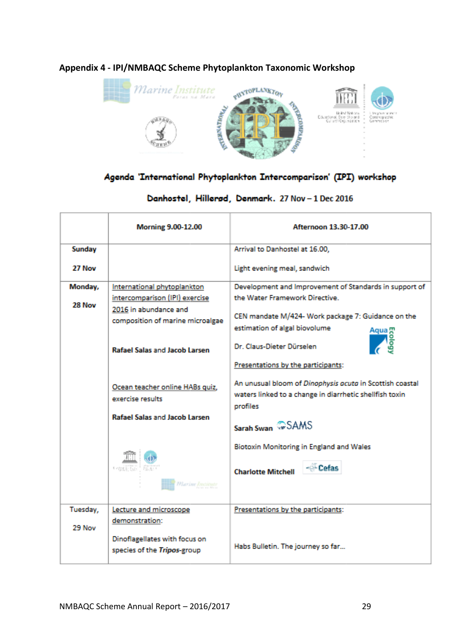

# <span id="page-30-0"></span>**Appendix 4 - IPI/NMBAQC Scheme Phytoplankton Taxonomic Workshop**

# Agenda 'International Phytoplankton Intercomparison' (IPI) workshop

# Danhostel, Hillerød, Denmark. 27 Nov - 1 Dec 2016

|          | <b>Morning 9.00-12.00</b>                                                                         | Afternoon 13.30-17.00                                                                                                           |
|----------|---------------------------------------------------------------------------------------------------|---------------------------------------------------------------------------------------------------------------------------------|
| Sunday   |                                                                                                   | Arrival to Danhostel at 16.00,                                                                                                  |
| 27 Nov   |                                                                                                   | Light evening meal, sandwich                                                                                                    |
| Monday,  | International phytoplankton                                                                       | Development and Improvement of Standards in support of                                                                          |
| 28 Nov   | intercomparison (IPI) exercise                                                                    | the Water Framework Directive.                                                                                                  |
|          | 2016 in abundance and<br>composition of marine microalgae<br><b>Rafael Salas and Jacob Larsen</b> | CEN mandate M/424- Work package 7: Guidance on the<br>estimation of algal biovolume<br>Aqua mo<br>Dr. Claus-Dieter Dürselen     |
|          |                                                                                                   | Presentations by the participants:                                                                                              |
|          | Ocean teacher online HABs quiz,<br>exercise results                                               | An unusual bloom of Dinophysis acuta in Scottish coastal<br>waters linked to a change in diarrhetic shellfish toxin<br>profiles |
|          | <b>Rafael Salas and Jacob Larsen</b>                                                              | Sarah Swan COSAMS                                                                                                               |
|          |                                                                                                   | <b>Biotoxin Monitoring in England and Wales</b>                                                                                 |
|          | Frontietur Gas<br><i>Marine Institute</i>                                                         | - <sup>G</sup> -Cefas<br><b>Charlotte Mitchell</b>                                                                              |
| Tuesday, | Lecture and microscope                                                                            | Presentations by the participants:                                                                                              |
| 29 Nov   | demonstration:                                                                                    |                                                                                                                                 |
|          | Dinoflagellates with focus on<br>species of the Tripos-group                                      | Habs Bulletin. The journey so far                                                                                               |